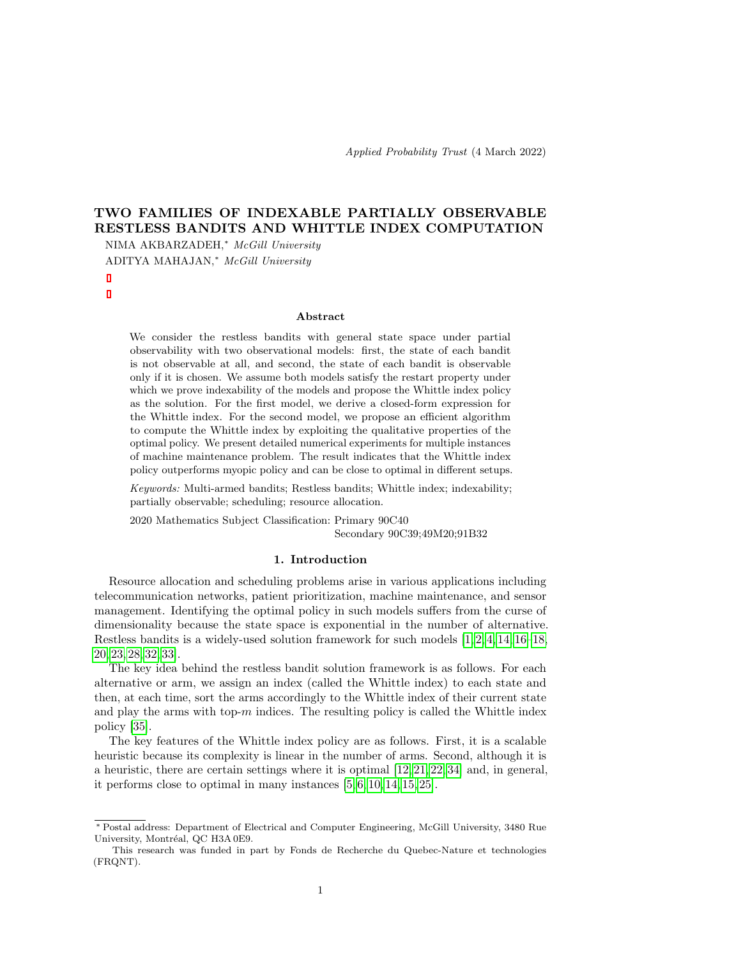Applied Probability Trust (4 March 2022)

# TWO FAMILIES OF INDEXABLE PARTIALLY OBSERVABLE RESTLESS BANDITS AND WHITTLE INDEX COMPUTATION

NIMA AKBARZADEH,<sup>∗</sup> McGill University ADITYA MAHAJAN,<sup>∗</sup> McGill University

### Abstract

We consider the restless bandits with general state space under partial observability with two observational models: first, the state of each bandit is not observable at all, and second, the state of each bandit is observable only if it is chosen. We assume both models satisfy the restart property under which we prove indexability of the models and propose the Whittle index policy as the solution. For the first model, we derive a closed-form expression for the Whittle index. For the second model, we propose an efficient algorithm to compute the Whittle index by exploiting the qualitative properties of the optimal policy. We present detailed numerical experiments for multiple instances of machine maintenance problem. The result indicates that the Whittle index policy outperforms myopic policy and can be close to optimal in different setups.

Keywords: Multi-armed bandits; Restless bandits; Whittle index; indexability; partially observable; scheduling; resource allocation.

2020 Mathematics Subject Classification: Primary 90C40 Secondary 90C39;49M20;91B32

### 1. Introduction

Resource allocation and scheduling problems arise in various applications including telecommunication networks, patient prioritization, machine maintenance, and sensor management. Identifying the optimal policy in such models suffers from the curse of dimensionality because the state space is exponential in the number of alternative. Restless bandits is a widely-used solution framework for such models  $[1, 2, 4, 14, 16-18,$  $[1, 2, 4, 14, 16-18,$  $[1, 2, 4, 14, 16-18,$  $[1, 2, 4, 14, 16-18,$  $[1, 2, 4, 14, 16-18,$  $[1, 2, 4, 14, 16-18,$ [20,](#page-22-2) [23,](#page-22-3) [28,](#page-22-4) [32,](#page-23-0) [33\]](#page-23-1).

The key idea behind the restless bandit solution framework is as follows. For each alternative or arm, we assign an index (called the Whittle index) to each state and then, at each time, sort the arms accordingly to the Whittle index of their current state and play the arms with top- $m$  indices. The resulting policy is called the Whittle index policy [\[35\]](#page-23-2).

The key features of the Whittle index policy are as follows. First, it is a scalable heuristic because its complexity is linear in the number of arms. Second, although it is a heuristic, there are certain settings where it is optimal [\[12,](#page-21-4) [21,](#page-22-5) [22,](#page-22-6) [34\]](#page-23-3) and, in general, it performs close to optimal in many instances [\[5,](#page-21-5) [6,](#page-21-6) [10,](#page-21-7) [14,](#page-21-3) [15,](#page-22-7) [25\]](#page-22-8).

<sup>∗</sup> Postal address: Department of Electrical and Computer Engineering, McGill University, 3480 Rue University, Montréal, QC H3A 0E9.

This research was funded in part by Fonds de Recherche du Quebec-Nature et technologies (FRQNT).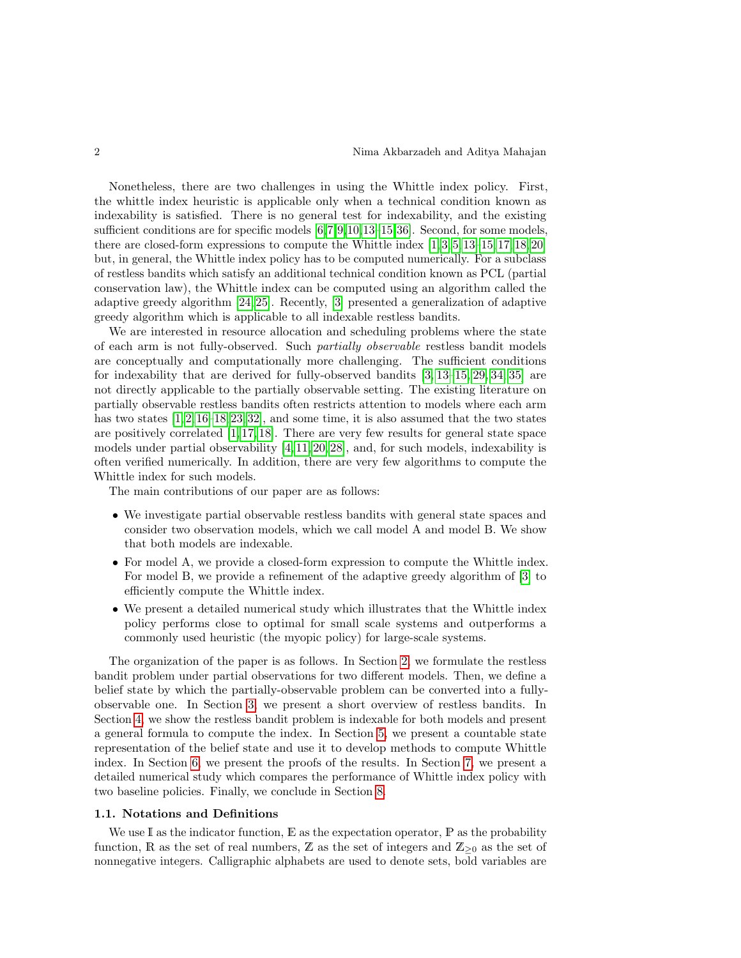Nonetheless, there are two challenges in using the Whittle index policy. First, the whittle index heuristic is applicable only when a technical condition known as indexability is satisfied. There is no general test for indexability, and the existing sufficient conditions are for specific models  $[6,7,9,10,13-15,36]$  $[6,7,9,10,13-15,36]$  $[6,7,9,10,13-15,36]$  $[6,7,9,10,13-15,36]$  $[6,7,9,10,13-15,36]$  $[6,7,9,10,13-15,36]$  $[6,7,9,10,13-15,36]$ . Second, for some models, there are closed-form expressions to compute the Whittle index [\[1,](#page-21-0) [3,](#page-21-11) [5,](#page-21-5) [13–](#page-21-10)[15,](#page-22-7) [17,](#page-22-9) [18,](#page-22-1) [20\]](#page-22-2) but, in general, the Whittle index policy has to be computed numerically. For a subclass of restless bandits which satisfy an additional technical condition known as PCL (partial conservation law), the Whittle index can be computed using an algorithm called the adaptive greedy algorithm [\[24,](#page-22-10) [25\]](#page-22-8). Recently, [\[3\]](#page-21-11) presented a generalization of adaptive greedy algorithm which is applicable to all indexable restless bandits.

We are interested in resource allocation and scheduling problems where the state of each arm is not fully-observed. Such partially observable restless bandit models are conceptually and computationally more challenging. The sufficient conditions for indexability that are derived for fully-observed bandits [\[3,](#page-21-11) [13–](#page-21-10)[15,](#page-22-7) [29,](#page-22-11) [34,](#page-23-3) [35\]](#page-23-2) are not directly applicable to the partially observable setting. The existing literature on partially observable restless bandits often restricts attention to models where each arm has two states  $[1, 2, 16-18, 23, 32]$  $[1, 2, 16-18, 23, 32]$  $[1, 2, 16-18, 23, 32]$  $[1, 2, 16-18, 23, 32]$  $[1, 2, 16-18, 23, 32]$  $[1, 2, 16-18, 23, 32]$ , and some time, it is also assumed that the two states are positively correlated  $[1, 17, 18]$  $[1, 17, 18]$  $[1, 17, 18]$ . There are very few results for general state space models under partial observability [\[4,](#page-21-2) [11,](#page-21-12) [20,](#page-22-2) [28\]](#page-22-4), and, for such models, indexability is often verified numerically. In addition, there are very few algorithms to compute the Whittle index for such models.

The main contributions of our paper are as follows:

- We investigate partial observable restless bandits with general state spaces and consider two observation models, which we call model A and model B. We show that both models are indexable.
- For model A, we provide a closed-form expression to compute the Whittle index. For model B, we provide a refinement of the adaptive greedy algorithm of [\[3\]](#page-21-11) to efficiently compute the Whittle index.
- We present a detailed numerical study which illustrates that the Whittle index policy performs close to optimal for small scale systems and outperforms a commonly used heuristic (the myopic policy) for large-scale systems.

The organization of the paper is as follows. In Section [2,](#page-2-0) we formulate the restless bandit problem under partial observations for two different models. Then, we define a belief state by which the partially-observable problem can be converted into a fullyobservable one. In Section [3,](#page-4-0) we present a short overview of restless bandits. In Section [4,](#page-5-0) we show the restless bandit problem is indexable for both models and present a general formula to compute the index. In Section [5,](#page-6-0) we present a countable state representation of the belief state and use it to develop methods to compute Whittle index. In Section [6,](#page-12-0) we present the proofs of the results. In Section [7,](#page-16-0) we present a detailed numerical study which compares the performance of Whittle index policy with two baseline policies. Finally, we conclude in Section [8.](#page-19-0)

#### 1.1. Notations and Definitions

We use I as the indicator function,  $E$  as the expectation operator,  $P$  as the probability function, R as the set of real numbers, Z as the set of integers and  $\mathbb{Z}_{\geq 0}$  as the set of nonnegative integers. Calligraphic alphabets are used to denote sets, bold variables are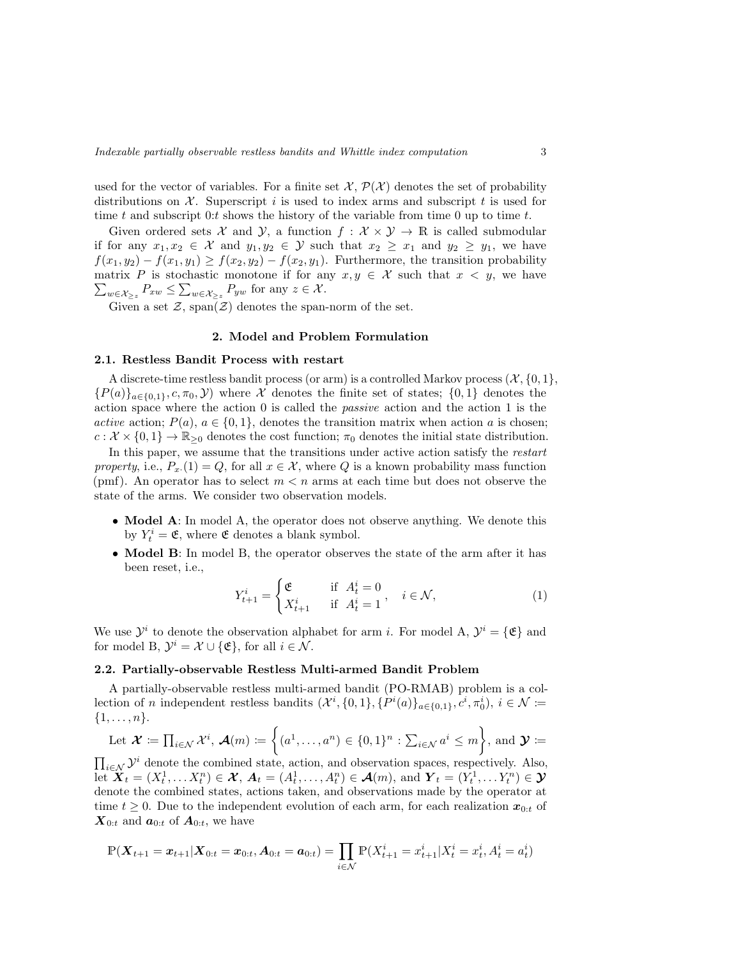used for the vector of variables. For a finite set  $\mathcal{X}, \mathcal{P}(\mathcal{X})$  denotes the set of probability distributions on  $\mathcal X$ . Superscript i is used to index arms and subscript t is used for time t and subscript 0:t shows the history of the variable from time 0 up to time t.

Given ordered sets  $\mathcal X$  and  $\mathcal Y$ , a function  $f : \mathcal X \times \mathcal Y \to \mathbb R$  is called submodular if for any  $x_1, x_2 \in \mathcal{X}$  and  $y_1, y_2 \in \mathcal{Y}$  such that  $x_2 \geq x_1$  and  $y_2 \geq y_1$ , we have  $f(x_1, y_2) - f(x_1, y_1) \ge f(x_2, y_2) - f(x_2, y_1)$ . Furthermore, the transition probability matrix P is stochastic monotone if for any  $x, y \in \mathcal{X}$  such that  $x < y$ , we have  $\sum_{w \in \mathcal{X}_{\geq z}} P_{xw} \leq \sum_{w \in \mathcal{X}_{\geq z}} P_{yw}$  for any  $z \in \mathcal{X}$ .

Given a set  $\mathcal{Z},$   $\mathrm{span}(\mathcal{Z})$  denotes the span-norm of the set.

### 2. Model and Problem Formulation

#### <span id="page-2-0"></span>2.1. Restless Bandit Process with restart

A discrete-time restless bandit process (or arm) is a controlled Markov process  $(\mathcal{X}, \{0, 1\})$  ${P(a)}_{a\in{0,1}}$ ,  $c, \pi_0, Y$ ) where X denotes the finite set of states;  ${0,1}$  denotes the action space where the action 0 is called the passive action and the action 1 is the active action;  $P(a)$ ,  $a \in \{0,1\}$ , denotes the transition matrix when action a is chosen;  $c: \mathcal{X} \times \{0,1\} \to \mathbb{R}_{\geq 0}$  denotes the cost function;  $\pi_0$  denotes the initial state distribution.

In this paper, we assume that the transitions under active action satisfy the restart property, i.e.,  $P_x(1) = Q$ , for all  $x \in \mathcal{X}$ , where Q is a known probability mass function (pmf). An operator has to select  $m < n$  arms at each time but does not observe the state of the arms. We consider two observation models.

- Model A: In model A, the operator does not observe anything. We denote this by  $Y_t^i = \mathfrak{E}$ , where  $\mathfrak{E}$  denotes a blank symbol.
- Model B: In model B, the operator observes the state of the arm after it has been reset, i.e.,

$$
Y_{t+1}^i = \begin{cases} \mathfrak{E} & \text{if } A_t^i = 0 \\ X_{t+1}^i & \text{if } A_t^i = 1 \end{cases}, \quad i \in \mathcal{N}, \tag{1}
$$

We use  $\mathcal{Y}^i$  to denote the observation alphabet for arm *i*. For model A,  $\mathcal{Y}^i = {\mathcal{E}}$  and for model B,  $\mathcal{Y}^i = \mathcal{X} \cup {\mathcal{E}}$ , for all  $i \in \mathcal{N}$ .

#### 2.2. Partially-observable Restless Multi-armed Bandit Problem

A partially-observable restless multi-armed bandit (PO-RMAB) problem is a collection of *n* independent restless bandits  $(\mathcal{X}^i, \{0,1\}, \{P^i(a)\}_{a \in \{0,1\}}, c^i, \pi_0^i), i \in \mathcal{N} \coloneqq$  $\{1,\ldots,n\}.$ 

Let 
$$
\mathcal{X} := \prod_{i \in \mathcal{N}} \mathcal{X}^i
$$
,  $\mathcal{A}(m) := \left\{ (a^1, \dots, a^n) \in \{0, 1\}^n : \sum_{i \in \mathcal{N}} a^i \leq m \right\}$ , and  $\mathcal{Y} :=$ 

 $\prod_{i\in\mathcal{N}}\mathcal{Y}^i$  denote the combined state, action, and observation spaces, respectively. Also, let  $\widetilde{\mathbf{X}}_t = (X_t^1, \dots X_t^n) \in \mathcal{X}, \mathbf{A}_t = (A_t^1, \dots, A_t^n) \in \mathcal{A}(m)$ , and  $\mathbf{Y}_t = (Y_t^1, \dots Y_t^n) \in \mathcal{Y}$ denote the combined states, actions taken, and observations made by the operator at time  $t \geq 0$ . Due to the independent evolution of each arm, for each realization  $x_{0:t}$  of  $\mathbf{X}_{0:t}$  and  $\mathbf{a}_{0:t}$  of  $\mathbf{A}_{0:t}$ , we have

$$
\mathbb{P}(\boldsymbol{X}_{t+1} = \boldsymbol{x}_{t+1} | \boldsymbol{X}_{0:t} = \boldsymbol{x}_{0:t}, \boldsymbol{A}_{0:t} = \boldsymbol{a}_{0:t}) = \prod_{i \in \mathcal{N}} \mathbb{P}(X_{t+1}^i = x_{t+1}^i | X_t^i = x_t^i, A_t^i = a_t^i)
$$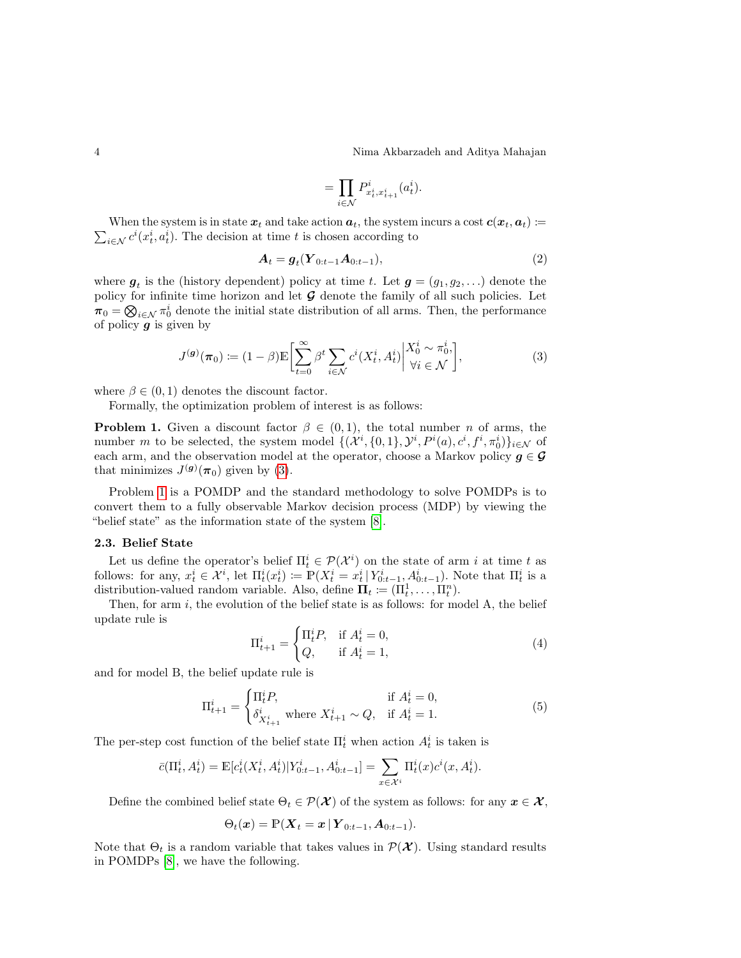4 Nima Akbarzadeh and Aditya Mahajan

$$
=\prod_{i\in\mathcal{N}}P^i_{x_t^i,x_{t+1}^i}(a_t^i).
$$

 $\sum_{i \in \mathcal{N}} c^i(x_t^i, a_t^i)$ . The decision at time t is chosen according to When the system is in state  $x_t$  and take action  $a_t$ , the system incurs a cost  $c(x_t, a_t) :=$ 

<span id="page-3-1"></span>
$$
A_t = g_t(Y_{0:t-1}A_{0:t-1}),
$$
\n(2)

where  $g_t$  is the (history dependent) policy at time t. Let  $g = (g_1, g_2, \ldots)$  denote the policy for infinite time horizon and let  $\mathcal G$  denote the family of all such policies. Let  $\pi_0 = \bigotimes_{i \in \mathcal{N}} \pi_0^i$  denote the initial state distribution of all arms. Then, the performance of policy  $\boldsymbol{g}$  is given by

<span id="page-3-0"></span>
$$
J^{(g)}(\boldsymbol{\pi}_0) \coloneqq (1-\beta) \mathbb{E} \bigg[ \sum_{t=0}^{\infty} \beta^t \sum_{i \in \mathcal{N}} c^i (X_t^i, A_t^i) \bigg| \frac{X_0^i \sim \pi_0^i}{\forall i \in \mathcal{N}} \bigg],\tag{3}
$$

where  $\beta \in (0, 1)$  denotes the discount factor.

Formally, the optimization problem of interest is as follows:

**Problem 1.** Given a discount factor  $\beta \in (0,1)$ , the total number *n* of arms, the number m to be selected, the system model  $\{(\mathcal{X}^i, \{0,1\}, \mathcal{Y}^i, P^i(a), c^i, f^i, \pi_0^i)\}_{i \in \mathcal{N}}$  of each arm, and the observation model at the operator, choose a Markov policy  $g \in \mathcal{G}$ that minimizes  $J^{(g)}(\pi_0)$  given by [\(3\)](#page-3-0).

Problem [1](#page-3-1) is a POMDP and the standard methodology to solve POMDPs is to convert them to a fully observable Markov decision process (MDP) by viewing the "belief state" as the information state of the system [\[8\]](#page-21-13).

### 2.3. Belief State

Let us define the operator's belief  $\Pi_t^i \in \mathcal{P}(\mathcal{X}^i)$  on the state of arm i at time t as follows: for any,  $x_t^i \in \mathcal{X}^i$ , let  $\Pi_t^i(x_t^i) \coloneqq \mathbb{P}(X_t^i = x_t^i | Y_{0:t-1}^i, A_{0:t-1}^i)$ . Note that  $\Pi_t^i$  is a distribution-valued random variable. Also, define  $\Pi_t \coloneqq (\Pi_t^1, \dots, \Pi_t^n)$ .

Then, for arm  $i$ , the evolution of the belief state is as follows: for model  $A$ , the belief update rule is

<span id="page-3-3"></span>
$$
\Pi_{t+1}^i = \begin{cases} \Pi_t^i P, & \text{if } A_t^i = 0, \\ Q, & \text{if } A_t^i = 1, \end{cases}
$$
\n
$$
(4)
$$

and for model B, the belief update rule is

<span id="page-3-4"></span>
$$
\Pi_{t+1}^{i} = \begin{cases} \Pi_t^{i} P, & \text{if } A_t^{i} = 0, \\ \delta_{X_{t+1}^{i}}^{i} \text{ where } X_{t+1}^{i} \sim Q, & \text{if } A_t^{i} = 1. \end{cases}
$$
 (5)

The per-step cost function of the belief state  $\Pi_t^i$  when action  $A_t^i$  is taken is

$$
\bar{c}(\Pi_t^i, A_t^i) = \mathbb{E}[c_t^i(X_t^i, A_t^i)|Y_{0:t-1}^i, A_{0:t-1}^i] = \sum_{x \in \mathcal{X}^i} \Pi_t^i(x)c^i(x, A_t^i).
$$

Define the combined belief state  $\Theta_t \in \mathcal{P}(\mathcal{X})$  of the system as follows: for any  $x \in \mathcal{X}$ ,

<span id="page-3-2"></span>
$$
\Theta_t(\boldsymbol{x}) = \mathbb{P}(\boldsymbol{X}_t = \boldsymbol{x} \,|\, \boldsymbol{Y}_{0:t-1}, \boldsymbol{A}_{0:t-1}).
$$

Note that  $\Theta_t$  is a random variable that takes values in  $\mathcal{P}(\mathcal{X})$ . Using standard results in POMDPs [\[8\]](#page-21-13), we have the following.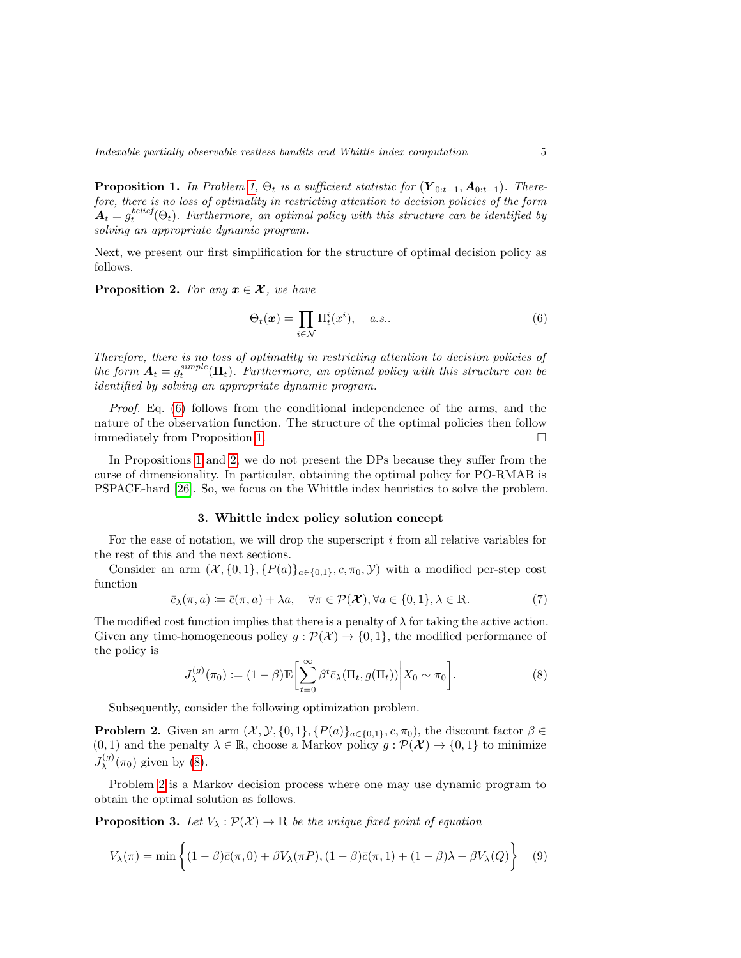**Proposition 1.** In Problem [1,](#page-3-1)  $\Theta_t$  is a sufficient statistic for  $(Y_{0:t-1}, A_{0:t-1})$ . Therefore, there is no loss of optimality in restricting attention to decision policies of the form  $A_t = g_t^{belief}(\Theta_t)$ . Furthermore, an optimal policy with this structure can be identified by solving an appropriate dynamic program.

<span id="page-4-2"></span>Next, we present our first simplification for the structure of optimal decision policy as follows.

**Proposition 2.** For any  $x \in \mathcal{X}$ , we have

<span id="page-4-1"></span>
$$
\Theta_t(\boldsymbol{x}) = \prod_{i \in \mathcal{N}} \Pi_t^i(x^i), \quad a.s.. \tag{6}
$$

Therefore, there is no loss of optimality in restricting attention to decision policies of the form  $A_t = g_t^{simple}(\Pi_t)$ . Furthermore, an optimal policy with this structure can be identified by solving an appropriate dynamic program.

Proof. Eq. [\(6\)](#page-4-1) follows from the conditional independence of the arms, and the nature of the observation function. The structure of the optimal policies then follow immediately from Proposition [1.](#page-3-2)  $\Box$ 

In Propositions [1](#page-3-2) and [2,](#page-4-2) we do not present the DPs because they suffer from the curse of dimensionality. In particular, obtaining the optimal policy for PO-RMAB is PSPACE-hard [\[26\]](#page-22-12). So, we focus on the Whittle index heuristics to solve the problem.

# 3. Whittle index policy solution concept

<span id="page-4-0"></span>For the ease of notation, we will drop the superscript  $i$  from all relative variables for the rest of this and the next sections.

Consider an arm  $(\mathcal{X}, \{0,1\}, \{P(a)\}_{a \in \{0,1\}}, c, \pi_0, \mathcal{Y})$  with a modified per-step cost function

$$
\bar{c}_{\lambda}(\pi, a) \coloneqq \bar{c}(\pi, a) + \lambda a, \quad \forall \pi \in \mathcal{P}(\mathcal{X}), \forall a \in \{0, 1\}, \lambda \in \mathbb{R}.
$$
 (7)

The modified cost function implies that there is a penalty of  $\lambda$  for taking the active action. Given any time-homogeneous policy  $g : \mathcal{P}(\mathcal{X}) \to \{0,1\}$ , the modified performance of the policy is

<span id="page-4-6"></span><span id="page-4-4"></span><span id="page-4-3"></span>
$$
J_{\lambda}^{(g)}(\pi_0) := (1 - \beta) \mathbb{E} \left[ \sum_{t=0}^{\infty} \beta^t \bar{c}_{\lambda}(\Pi_t, g(\Pi_t)) \middle| X_0 \sim \pi_0 \right]. \tag{8}
$$

Subsequently, consider the following optimization problem.

**Problem 2.** Given an arm  $(\mathcal{X}, \mathcal{Y}, \{0,1\}, \{P(a)\}_{a \in \{0,1\}}, c, \pi_0)$ , the discount factor  $\beta \in$  $(0, 1)$  and the penalty  $\lambda \in \mathbb{R}$ , choose a Markov policy  $g : \mathcal{P}(\mathcal{X}) \to \{0, 1\}$  to minimize  $J_\lambda^{(g)}$  $\lambda^{(g)}(\pi_0)$  given by [\(8\)](#page-4-3).

Problem [2](#page-4-4) is a Markov decision process where one may use dynamic program to obtain the optimal solution as follows.

**Proposition 3.** Let  $V_{\lambda} : \mathcal{P}(\mathcal{X}) \to \mathbb{R}$  be the unique fixed point of equation

<span id="page-4-5"></span>
$$
V_{\lambda}(\pi) = \min \left\{ (1 - \beta)\bar{c}(\pi, 0) + \beta V_{\lambda}(\pi P), (1 - \beta)\bar{c}(\pi, 1) + (1 - \beta)\lambda + \beta V_{\lambda}(Q) \right\}
$$
(9)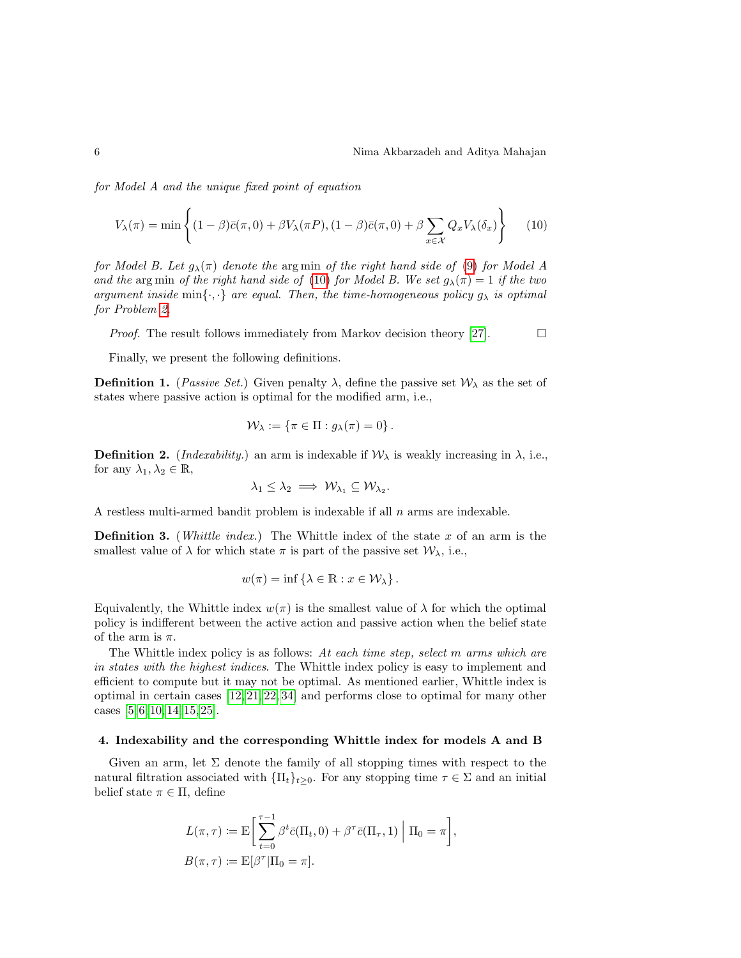for Model A and the unique fixed point of equation

$$
V_{\lambda}(\pi) = \min \left\{ (1 - \beta)\bar{c}(\pi, 0) + \beta V_{\lambda}(\pi P), (1 - \beta)\bar{c}(\pi, 0) + \beta \sum_{x \in \mathcal{X}} Q_x V_{\lambda}(\delta_x) \right\} \tag{10}
$$

for Model B. Let  $g_{\lambda}(\pi)$  denote the argmin of the right hand side of [\(9\)](#page-4-5) for Model A and the arg min of the right hand side of [\(10\)](#page-5-1) for Model B. We set  $g_{\lambda}(\pi) = 1$  if the two argument inside min $\{\cdot,\cdot\}$  are equal. Then, the time-homogeneous policy  $g_{\lambda}$  is optimal for Problem [2.](#page-4-4)

*Proof.* The result follows immediately from Markov decision theory [\[27\]](#page-22-13).  $\Box$ 

Finally, we present the following definitions.

**Definition 1.** (*Passive Set.*) Given penalty  $\lambda$ , define the passive set  $\mathcal{W}_{\lambda}$  as the set of states where passive action is optimal for the modified arm, i.e.,

<span id="page-5-1"></span>
$$
\mathcal{W}_{\lambda} := \{ \pi \in \Pi : g_{\lambda}(\pi) = 0 \}.
$$

**Definition 2.** (*Indexability.*) an arm is indexable if  $W_{\lambda}$  is weakly increasing in  $\lambda$ , i.e., for any  $\lambda_1, \lambda_2 \in \mathbb{R}$ ,

$$
\lambda_1 \leq \lambda_2 \implies \mathcal{W}_{\lambda_1} \subseteq \mathcal{W}_{\lambda_2}.
$$

A restless multi-armed bandit problem is indexable if all  $n$  arms are indexable.

**Definition 3.** (*Whittle index.*) The Whittle index of the state x of an arm is the smallest value of  $\lambda$  for which state  $\pi$  is part of the passive set  $\mathcal{W}_{\lambda}$ , i.e.,

$$
w(\pi) = \inf \{ \lambda \in \mathbb{R} : x \in \mathcal{W}_{\lambda} \}.
$$

Equivalently, the Whittle index  $w(\pi)$  is the smallest value of  $\lambda$  for which the optimal policy is indifferent between the active action and passive action when the belief state of the arm is  $\pi$ .

The Whittle index policy is as follows: At each time step, select m arms which are in states with the highest indices. The Whittle index policy is easy to implement and efficient to compute but it may not be optimal. As mentioned earlier, Whittle index is optimal in certain cases [\[12,](#page-21-4) [21,](#page-22-5) [22,](#page-22-6) [34\]](#page-23-3) and performs close to optimal for many other cases  $[5, 6, 10, 14, 15, 25]$  $[5, 6, 10, 14, 15, 25]$  $[5, 6, 10, 14, 15, 25]$  $[5, 6, 10, 14, 15, 25]$  $[5, 6, 10, 14, 15, 25]$  $[5, 6, 10, 14, 15, 25]$ .

#### <span id="page-5-0"></span>4. Indexability and the corresponding Whittle index for models A and B

Given an arm, let  $\Sigma$  denote the family of all stopping times with respect to the natural filtration associated with  $\{\Pi_t\}_{t>0}$ . For any stopping time  $\tau \in \Sigma$  and an initial belief state  $\pi \in \Pi$ , define

<span id="page-5-2"></span>
$$
L(\pi, \tau) := \mathbb{E}\bigg[\sum_{t=0}^{\tau-1} \beta^t \bar{c}(\Pi_t, 0) + \beta^\tau \bar{c}(\Pi_\tau, 1) \mid \Pi_0 = \pi\bigg],
$$
  

$$
B(\pi, \tau) := \mathbb{E}[\beta^\tau | \Pi_0 = \pi].
$$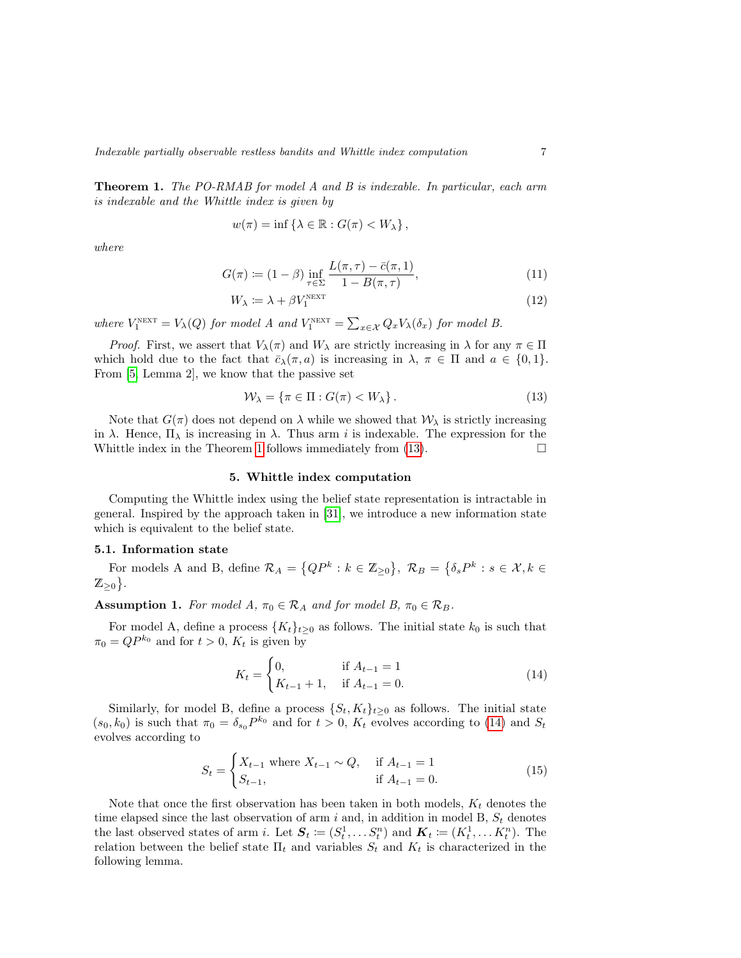**Theorem 1.** The PO-RMAB for model A and B is indexable. In particular, each arm is indexable and the Whittle index is given by

$$
w(\pi) = \inf \{ \lambda \in \mathbb{R} : G(\pi) < W_{\lambda} \},
$$

where

$$
G(\pi) := (1 - \beta) \inf_{\tau \in \Sigma} \frac{L(\pi, \tau) - \bar{c}(\pi, 1)}{1 - B(\pi, \tau)},
$$
\n(11)

$$
W_{\lambda} := \lambda + \beta V_1^{\text{next}} \tag{12}
$$

where  $V_1^{\text{next}} = V_\lambda(Q)$  for model A and  $V_1^{\text{next}} = \sum_{x \in \mathcal{X}} Q_x V_\lambda(\delta_x)$  for model B.

*Proof.* First, we assert that  $V_\lambda(\pi)$  and  $W_\lambda$  are strictly increasing in  $\lambda$  for any  $\pi \in \Pi$ which hold due to the fact that  $\bar{c}_{\lambda}(\pi, a)$  is increasing in  $\lambda, \pi \in \Pi$  and  $a \in \{0, 1\}.$ From [\[5,](#page-21-5) Lemma 2], we know that the passive set

<span id="page-6-1"></span>
$$
\mathcal{W}_{\lambda} = \{ \pi \in \Pi : G(\pi) < W_{\lambda} \} \,. \tag{13}
$$

Note that  $G(\pi)$  does not depend on  $\lambda$  while we showed that  $\mathcal{W}_{\lambda}$  is strictly increasing in  $\lambda$ . Hence,  $\Pi_{\lambda}$  is increasing in  $\lambda$ . Thus arm *i* is indexable. The expression for the Whittle index in the Theorem [1](#page-5-2) follows immediately from  $(13)$ .  $\Box$ 

### 5. Whittle index computation

<span id="page-6-0"></span>Computing the Whittle index using the belief state representation is intractable in general. Inspired by the approach taken in [\[31\]](#page-23-5), we introduce a new information state which is equivalent to the belief state.

### 5.1. Information state

<span id="page-6-3"></span>For models A and B, define  $\mathcal{R}_A = \{QP^k : k \in \mathbb{Z}_{\geq 0}\}, \ \mathcal{R}_B = \{\delta_s P^k : s \in \mathcal{X}, k \in \mathbb{Z}_{\geq 0}\}$  $\mathbb{Z}_{\geq 0}$ .

**Assumption 1.** For model A,  $\pi_0 \in \mathcal{R}_A$  and for model B,  $\pi_0 \in \mathcal{R}_B$ .

For model A, define a process  $\{K_t\}_{t>0}$  as follows. The initial state  $k_0$  is such that  $\pi_0 = QP^{k_0}$  and for  $t > 0$ ,  $K_t$  is given by

<span id="page-6-2"></span>
$$
K_t = \begin{cases} 0, & \text{if } A_{t-1} = 1 \\ K_{t-1} + 1, & \text{if } A_{t-1} = 0. \end{cases} \tag{14}
$$

Similarly, for model B, define a process  $\{S_t, K_t\}_{t\geq 0}$  as follows. The initial state  $(s_0, k_0)$  is such that  $\pi_0 = \delta_{s_0} P^{k_0}$  and for  $t > 0$ ,  $K_t$  evolves according to [\(14\)](#page-6-2) and  $S_t$ evolves according to

<span id="page-6-4"></span>
$$
S_t = \begin{cases} X_{t-1} \text{ where } X_{t-1} \sim Q, & \text{if } A_{t-1} = 1\\ S_{t-1}, & \text{if } A_{t-1} = 0. \end{cases}
$$
 (15)

<span id="page-6-5"></span>Note that once the first observation has been taken in both models,  $K_t$  denotes the time elapsed since the last observation of arm i and, in addition in model B,  $S_t$  denotes the last observed states of arm i. Let  $S_t \coloneqq (S_t^1, \dots S_t^n)$  and  $\mathbf{K}_t \coloneqq (K_t^1, \dots K_t^n)$ . The relation between the belief state  $\Pi_t$  and variables  $S_t$  and  $K_t$  is characterized in the following lemma.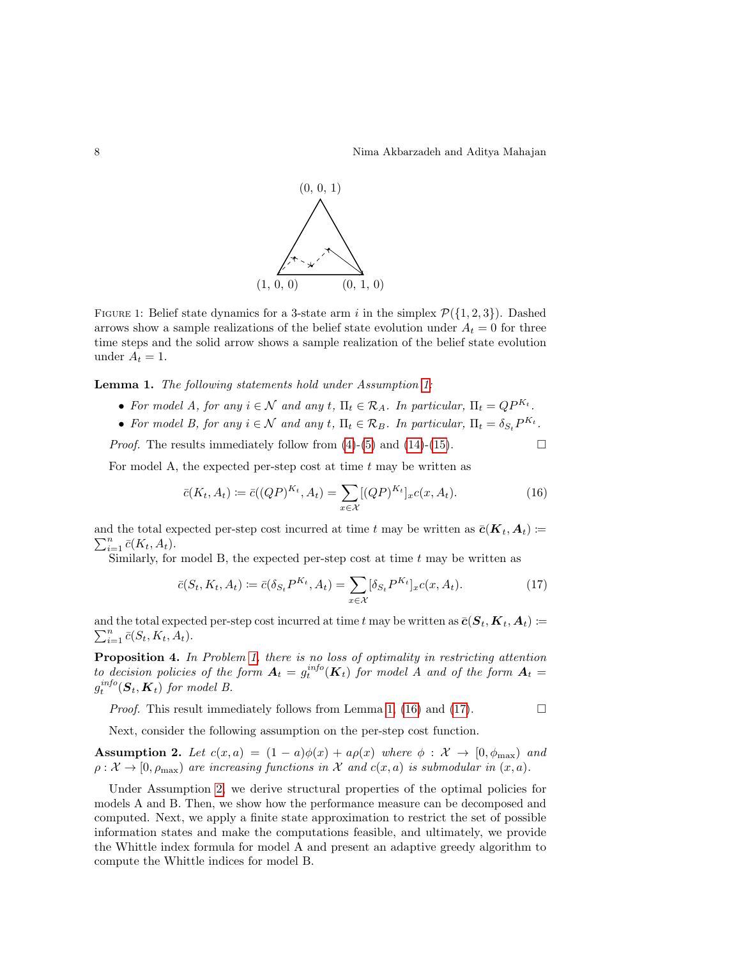

FIGURE 1: Belief state dynamics for a 3-state arm i in the simplex  $\mathcal{P}(\{1, 2, 3\})$ . Dashed arrows show a sample realizations of the belief state evolution under  $A_t = 0$  for three time steps and the solid arrow shows a sample realization of the belief state evolution under  $A_t = 1$ .

Lemma 1. The following statements hold under Assumption [1:](#page-6-3)

- For model A, for any  $i \in \mathcal{N}$  and any t,  $\Pi_t \in \mathcal{R}_A$ . In particular,  $\Pi_t = QP^{K_t}$ .
- For model B, for any  $i \in \mathcal{N}$  and any  $t, \Pi_t \in \mathcal{R}_B$ . In particular,  $\Pi_t = \delta_{S_t} P^{K_t}$ .

*Proof.* The results immediately follow from  $(4)$ - $(5)$  and  $(14)$ - $(15)$ .

For model A, the expected per-step cost at time  $t$  may be written as

<span id="page-7-0"></span>
$$
\bar{c}(K_t, A_t) := \bar{c}((QP)^{K_t}, A_t) = \sum_{x \in \mathcal{X}} [(QP)^{K_t}]_{x} c(x, A_t).
$$
\n(16)

and the total expected per-step cost incurred at time t may be written as  $\bar{c}(K_t, A_t) :=$  $\sum_{i=1}^n \bar{c}(K_t, A_t).$ 

Similarly, for model B, the expected per-step cost at time  $t$  may be written as

<span id="page-7-2"></span><span id="page-7-1"></span>
$$
\bar{c}(S_t, K_t, A_t) \coloneqq \bar{c}(\delta_{S_t} P^{K_t}, A_t) = \sum_{x \in \mathcal{X}} [\delta_{S_t} P^{K_t}]_x c(x, A_t). \tag{17}
$$

and the total expected per-step cost incurred at time  $t$  may be written as  $\bar{\bm{c}}(\bm{S}_t, \bm{K}_t, \bm{A}_t) \coloneqq$  $\sum_{i=1}^n \bar{c}(S_t, K_t, A_t).$ 

**Proposition 4.** In Problem [1,](#page-3-1) there is no loss of optimality in restricting attention to decision policies of the form  $A_t = g_t^{info}(K_t)$  for model A and of the form  $A_t =$  $g_t^{info}(\boldsymbol{S}_t, \boldsymbol{K}_t)$  for model B.

*Proof.* This result immediately follows from Lemma [1,](#page-6-5) [\(16\)](#page-7-0) and [\(17\)](#page-7-1).  $\Box$ 

Next, consider the following assumption on the per-step cost function.

Assumption 2. Let  $c(x, a) = (1 - a)\phi(x) + a\rho(x)$  where  $\phi : \mathcal{X} \to [0, \phi_{\text{max}}]$  and  $\rho: \mathcal{X} \to [0, \rho_{\text{max}})$  are increasing functions in X and  $c(x, a)$  is submodular in  $(x, a)$ .

Under Assumption [2,](#page-7-2) we derive structural properties of the optimal policies for models A and B. Then, we show how the performance measure can be decomposed and computed. Next, we apply a finite state approximation to restrict the set of possible information states and make the computations feasible, and ultimately, we provide the Whittle index formula for model A and present an adaptive greedy algorithm to compute the Whittle indices for model B.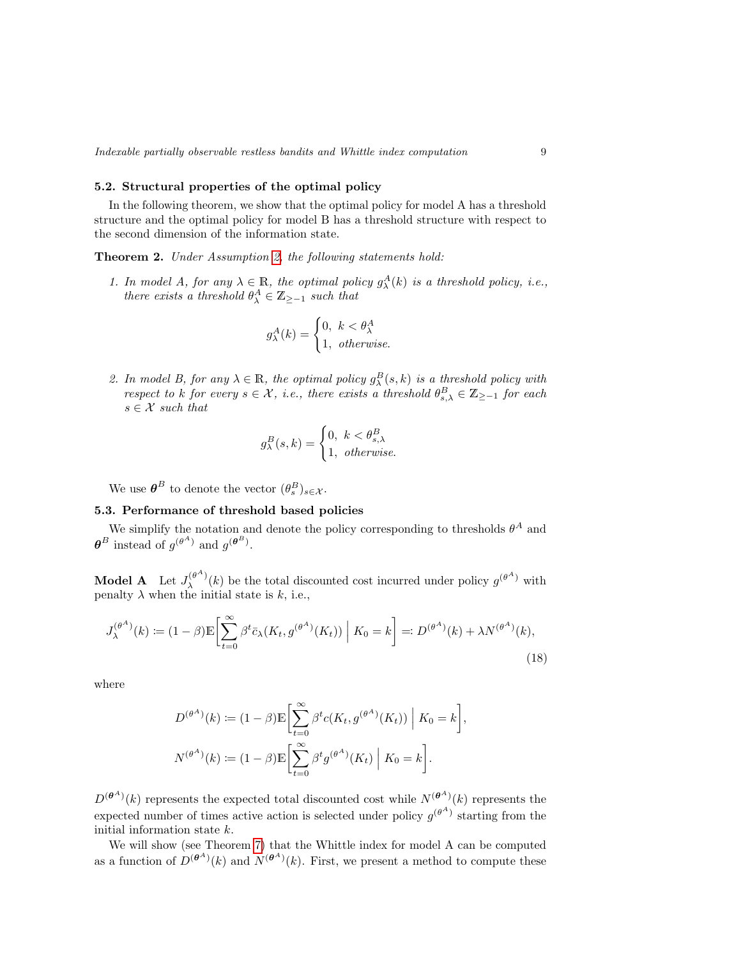### 5.2. Structural properties of the optimal policy

In the following theorem, we show that the optimal policy for model A has a threshold structure and the optimal policy for model B has a threshold structure with respect to the second dimension of the information state.

Theorem 2. Under Assumption [2,](#page-7-2) the following statements hold:

1. In model A, for any  $\lambda \in \mathbb{R}$ , the optimal policy  $g_{\lambda}^{A}(k)$  is a threshold policy, i.e., there exists a threshold  $\theta_{\lambda}^A \in \mathbb{Z}_{\geq -1}$  such that

<span id="page-8-1"></span>
$$
g_{\lambda}^{A}(k) = \begin{cases} 0, & k < \theta_{\lambda}^{A} \\ 1, & otherwise. \end{cases}
$$

2. In model B, for any  $\lambda \in \mathbb{R}$ , the optimal policy  $g_{\lambda}^{B}(s,k)$  is a threshold policy with respect to k for every  $s \in \mathcal{X}$ , i.e., there exists a threshold  $\theta_{s,\lambda}^B \in \mathbb{Z}_{\ge-1}$  for each  $s \in \mathcal{X}$  such that

<span id="page-8-0"></span>
$$
g_{\lambda}^{B}(s,k) = \begin{cases} 0, & k < \theta_{s,\lambda}^{B} \\ 1, & \text{otherwise.} \end{cases}
$$

We use  $\boldsymbol{\theta}^B$  to denote the vector  $(\theta_s^B)_{s \in \mathcal{X}}$ .

### 5.3. Performance of threshold based policies

We simplify the notation and denote the policy corresponding to thresholds  $\theta^A$  and  $\boldsymbol{\theta}^B$  instead of  $g^{(\theta^A)}$  and  $g^{(\boldsymbol{\theta}^B)}$ .

**Model A** Let  $J_{\lambda}^{(\theta^A)}$  $\lambda^{(\theta^A)}(k)$  be the total discounted cost incurred under policy  $g^{(\theta^A)}$  with penalty  $\lambda$  when the initial state is k, i.e.,

$$
J_{\lambda}^{(\theta^A)}(k) := (1 - \beta) \mathbb{E} \bigg[ \sum_{t=0}^{\infty} \beta^t \bar{c}_{\lambda}(K_t, g^{(\theta^A)}(K_t)) \mid K_0 = k \bigg] =: D^{(\theta^A)}(k) + \lambda N^{(\theta^A)}(k), \tag{18}
$$

where

$$
D^{(\theta^A)}(k) := (1 - \beta) \mathbb{E} \left[ \sum_{t=0}^{\infty} \beta^t c(K_t, g^{(\theta^A)}(K_t)) \middle| K_0 = k \right],
$$
  

$$
N^{(\theta^A)}(k) := (1 - \beta) \mathbb{E} \left[ \sum_{t=0}^{\infty} \beta^t g^{(\theta^A)}(K_t) \middle| K_0 = k \right].
$$

 $D^{(\theta^A)}(k)$  represents the expected total discounted cost while  $N^{(\theta^A)}(k)$  represents the expected number of times active action is selected under policy  $g^{(\theta^A)}$  starting from the initial information state k.

We will show (see Theorem [7\)](#page-11-0) that the Whittle index for model A can be computed as a function of  $D^{(\theta^A)}(k)$  and  $N^{(\theta^A)}(k)$ . First, we present a method to compute these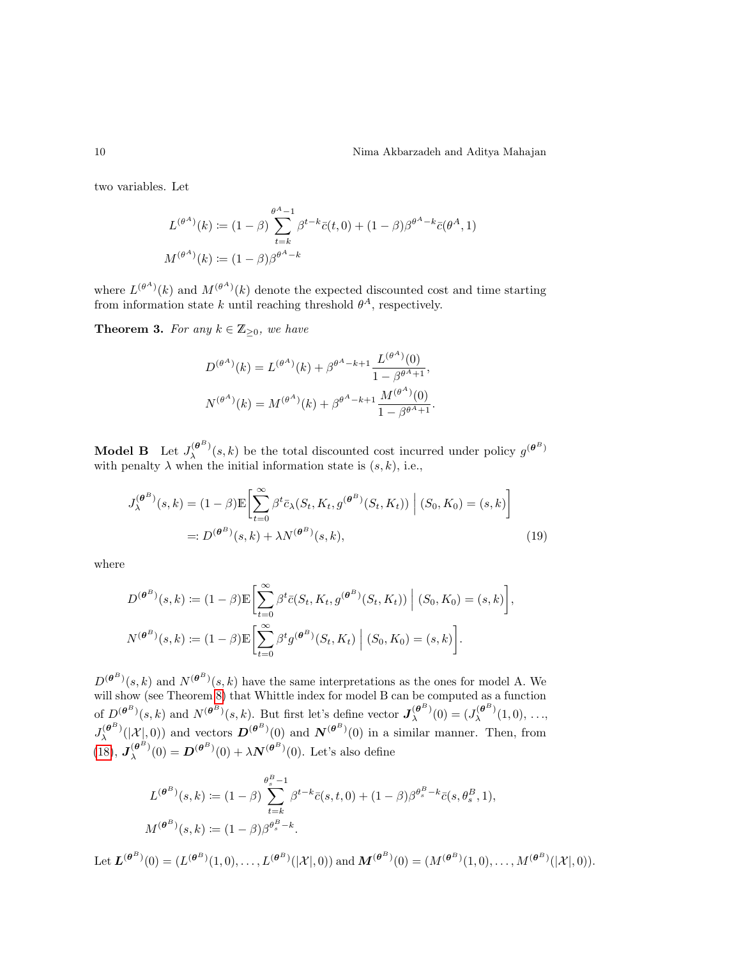two variables. Let

$$
L^{(\theta^A)}(k) := (1 - \beta) \sum_{t=k}^{\theta^A - 1} \beta^{t-k} \bar{c}(t, 0) + (1 - \beta) \beta^{\theta^A - k} \bar{c}(\theta^A, 1)
$$

$$
M^{(\theta^A)}(k) := (1 - \beta) \beta^{\theta^A - k}
$$

where  $L^{(\theta^A)}(k)$  and  $M^{(\theta^A)}(k)$  denote the expected discounted cost and time starting from information state k until reaching threshold  $\theta^A$ , respectively.

**Theorem 3.** For any  $k \in \mathbb{Z}_{\geq 0}$ , we have

<span id="page-9-0"></span>
$$
D^{(\theta^A)}(k) = L^{(\theta^A)}(k) + \beta^{\theta^A - k + 1} \frac{L^{(\theta^A)}(0)}{1 - \beta^{\theta^A + 1}},
$$

$$
N^{(\theta^A)}(k) = M^{(\theta^A)}(k) + \beta^{\theta^A - k + 1} \frac{M^{(\theta^A)}(0)}{1 - \beta^{\theta^A + 1}}.
$$

**Model B** Let  $J_{\lambda}^{(\theta^B)}$  $\mathcal{L}_{\lambda}^{(\theta^B)}(s,k)$  be the total discounted cost incurred under policy  $g^{(\theta^B)}$ with penalty  $\lambda$  when the initial information state is  $(s, k)$ , i.e.,

$$
J_{\lambda}^{(\theta^B)}(s,k) = (1-\beta)\mathbb{E}\left[\sum_{t=0}^{\infty} \beta^t \bar{c}_{\lambda}(S_t, K_t, g^{(\theta^B)}(S_t, K_t)) \middle| (S_0, K_0) = (s,k)\right]
$$
  
=:  $D^{(\theta^B)}(s,k) + \lambda N^{(\theta^B)}(s,k),$  (19)

where

$$
D^{(\theta^B)}(s,k) := (1-\beta)\mathbb{E}\left[\sum_{t=0}^{\infty} \beta^t \bar{c}(S_t, K_t, g^{(\theta^B)}(S_t, K_t)) \middle| (S_0, K_0) = (s,k)\right],
$$
  

$$
N^{(\theta^B)}(s,k) := (1-\beta)\mathbb{E}\left[\sum_{t=0}^{\infty} \beta^t g^{(\theta^B)}(S_t, K_t) \middle| (S_0, K_0) = (s,k)\right].
$$

 $D^{(\theta^B)}(s,k)$  and  $N^{(\theta^B)}(s,k)$  have the same interpretations as the ones for model A. We will show (see Theorem [8\)](#page-12-1) that Whittle index for model B can be computed as a function of  $D^{(\theta^B)}(s,k)$  and  $N^{(\theta^B)}(s,k)$ . But first let's define vector  $J^{(\theta^B)}_{\lambda}$  $\chi^{(\theta^B)}(0) = (J_\lambda^{(\theta^B)}$  $\lambda^{(\mathbf{\sigma})}(1,0), \ldots,$  $J_{\lambda}^{(\boldsymbol{\theta}^B)}$  $\mathcal{N}^{(\theta^B)}(\mathcal{X}^1_{\mathcal{N}},0)$  and vectors  $\mathcal{D}^{(\theta^B)}(0)$  and  $\mathcal{N}^{(\theta^B)}(0)$  in a similar manner. Then, from  $(18), J_\lambda^{(\theta^B)}$  $(18), J_\lambda^{(\theta^B)}$  $\mathcal{L}_{\lambda}^{(\theta^{B})}(0) = \mathbf{D}^{(\theta^{B})}(0) + \lambda \mathbf{N}^{(\theta^{B})}(0)$ . Let's also define

$$
L^{(\theta^B)}(s,k) := (1 - \beta) \sum_{t=k}^{\theta_s^B - 1} \beta^{t-k} \bar{c}(s,t,0) + (1 - \beta) \beta^{\theta_s^B - k} \bar{c}(s, \theta_s^B, 1),
$$
  

$$
M^{(\theta^B)}(s,k) := (1 - \beta) \beta^{\theta_s^B - k}.
$$

<span id="page-9-1"></span>Let  $\mathbf{L}^{(\theta^B)}(0) = (L^{(\theta^B)}(1,0), \ldots, L^{(\theta^B)}(|\mathcal{X}|,0))$  and  $\mathbf{M}^{(\theta^B)}(0) = (M^{(\theta^B)}(1,0), \ldots, M^{(\theta^B)}(|\mathcal{X}|,0)).$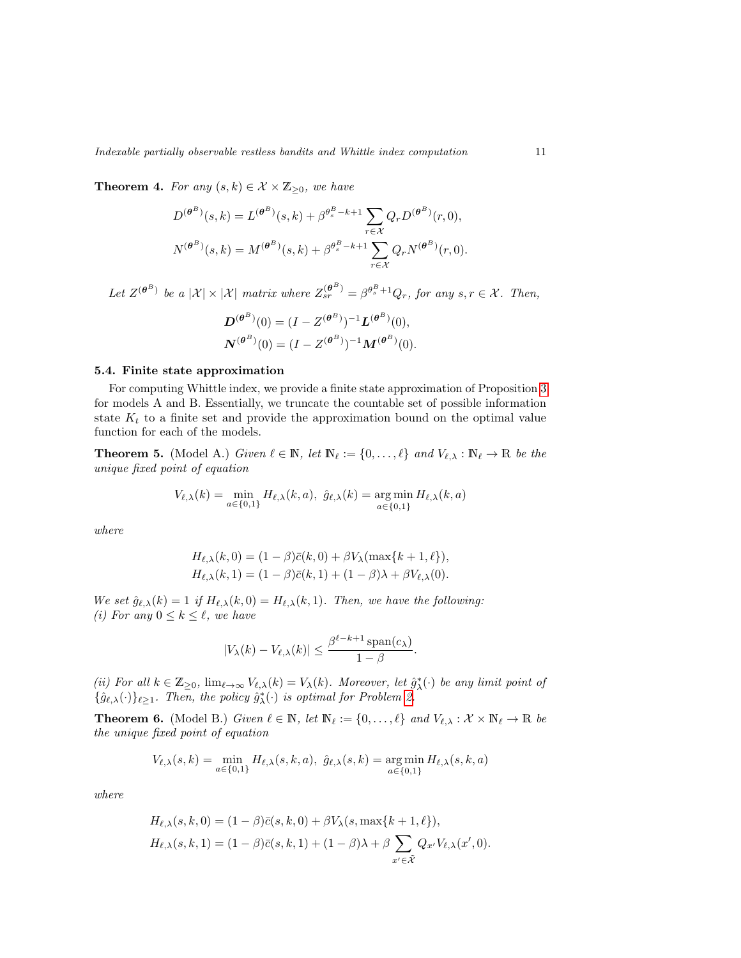**Theorem 4.** For any  $(s, k) \in \mathcal{X} \times \mathbb{Z}_{\geq 0}$ , we have

$$
D^{(\theta^{B})}(s,k) = L^{(\theta^{B})}(s,k) + \beta^{\theta^{B}_{s}-k+1} \sum_{r \in \mathcal{X}} Q_{r} D^{(\theta^{B})}(r,0),
$$
  

$$
N^{(\theta^{B})}(s,k) = M^{(\theta^{B})}(s,k) + \beta^{\theta^{B}_{s}-k+1} \sum_{r \in \mathcal{X}} Q_{r} N^{(\theta^{B})}(r,0).
$$

Let  $Z^{(\theta^B)}$  be a  $|\mathcal{X}| \times |\mathcal{X}|$  matrix where  $Z_{sr}^{(\theta^B)} = \beta^{\theta_s^B + 1} Q_r$ , for any  $s, r \in \mathcal{X}$ . Then,

$$
D^{(\theta^B)}(0) = (I - Z^{(\theta^B)})^{-1} L^{(\theta^B)}(0),
$$
  

$$
N^{(\theta^B)}(0) = (I - Z^{(\theta^B)})^{-1} M^{(\theta^B)}(0).
$$

### 5.4. Finite state approximation

For computing Whittle index, we provide a finite state approximation of Proposition [3](#page-4-6) for models A and B. Essentially, we truncate the countable set of possible information state  $K_t$  to a finite set and provide the approximation bound on the optimal value function for each of the models.

**Theorem 5.** (Model A.) Given  $\ell \in \mathbb{N}$ , let  $\mathbb{N}_{\ell} := \{0, \ldots, \ell\}$  and  $V_{\ell, \lambda} : \mathbb{N}_{\ell} \to \mathbb{R}$  be the unique fixed point of equation

<span id="page-10-0"></span>
$$
V_{\ell,\lambda}(k) = \min_{a \in \{0,1\}} H_{\ell,\lambda}(k,a), \ \hat{g}_{\ell,\lambda}(k) = \operatorname*{arg\,min}_{a \in \{0,1\}} H_{\ell,\lambda}(k,a)
$$

where

$$
H_{\ell,\lambda}(k,0) = (1-\beta)\bar{c}(k,0) + \beta V_{\lambda}(\max\{k+1,\ell\}),
$$
  
\n
$$
H_{\ell,\lambda}(k,1) = (1-\beta)\bar{c}(k,1) + (1-\beta)\lambda + \beta V_{\ell,\lambda}(0).
$$

We set  $\hat{g}_{\ell,\lambda}(k) = 1$  if  $H_{\ell,\lambda}(k,0) = H_{\ell,\lambda}(k,1)$ . Then, we have the following: (i) For any  $0 \leq k \leq \ell$ , we have

$$
|V_{\lambda}(k) - V_{\ell,\lambda}(k)| \leq \frac{\beta^{\ell-k+1} \operatorname{span}(c_{\lambda})}{1 - \beta}.
$$

(ii) For all  $k \in \mathbb{Z}_{\geq 0}$ ,  $\lim_{\ell \to \infty} V_{\ell,\lambda}(k) = V_{\lambda}(k)$ . Moreover, let  $\hat{g}_{\lambda}^{*}(\cdot)$  be any limit point of  $\{\hat{g}_{\ell,\lambda}(\cdot)\}_{\ell\geq 1}$ . Then, the policy  $\hat{g}_{\lambda}^*(\cdot)$  is optimal for Problem [2.](#page-4-4)

<span id="page-10-1"></span>**Theorem 6.** (Model B.) Given  $\ell \in \mathbb{N}$ , let  $\mathbb{N}_{\ell} := \{0, \ldots, \ell\}$  and  $V_{\ell, \lambda} : \mathcal{X} \times \mathbb{N}_{\ell} \to \mathbb{R}$  be the unique fixed point of equation

$$
V_{\ell,\lambda}(s,k) = \min_{a \in \{0,1\}} H_{\ell,\lambda}(s,k,a), \ \hat{g}_{\ell,\lambda}(s,k) = \operatorname*{arg\,min}_{a \in \{0,1\}} H_{\ell,\lambda}(s,k,a)
$$

where

$$
H_{\ell,\lambda}(s,k,0) = (1-\beta)\bar{c}(s,k,0) + \beta V_{\lambda}(s,\max\{k+1,\ell\}),
$$
  
\n
$$
H_{\ell,\lambda}(s,k,1) = (1-\beta)\bar{c}(s,k,1) + (1-\beta)\lambda + \beta \sum_{x' \in \tilde{X}} Q_{x'} V_{\ell,\lambda}(x',0).
$$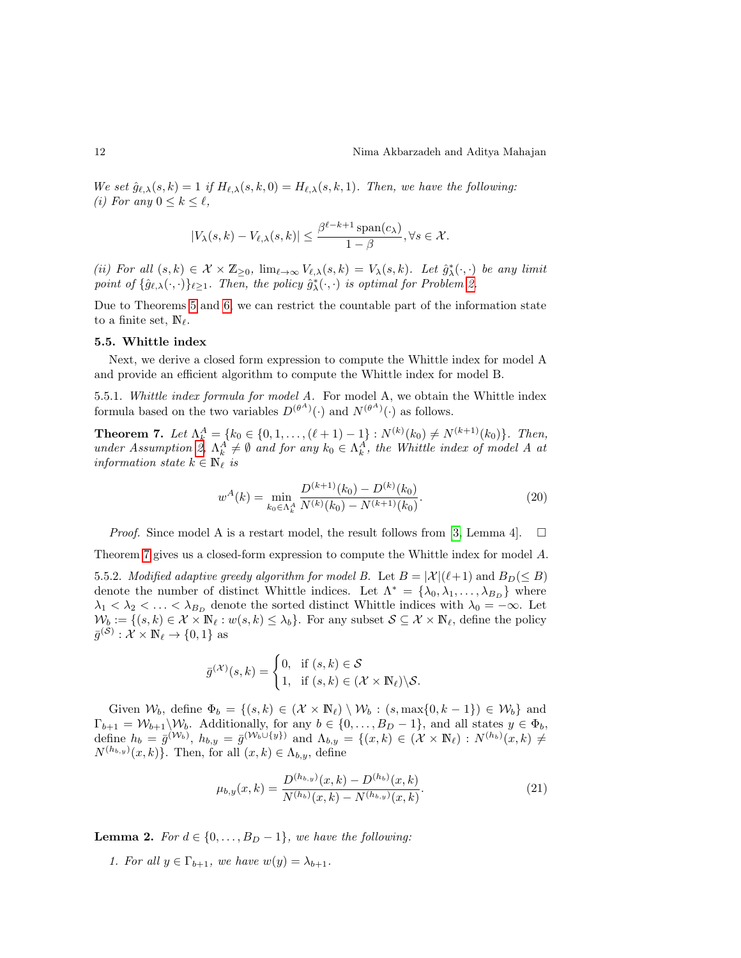We set  $\hat{g}_{\ell,\lambda}(s,k) = 1$  if  $H_{\ell,\lambda}(s,k,0) = H_{\ell,\lambda}(s,k,1)$ . Then, we have the following: (i) For any  $0 \leq k \leq \ell$ ,

$$
|V_{\lambda}(s,k) - V_{\ell,\lambda}(s,k)| \leq \frac{\beta^{\ell-k+1} \operatorname{span}(c_{\lambda})}{1-\beta}, \forall s \in \mathcal{X}.
$$

(ii) For all  $(s,k) \in \mathcal{X} \times \mathbb{Z}_{\geq 0}$ ,  $\lim_{\ell \to \infty} V_{\ell,\lambda}(s,k) = V_{\lambda}(s,k)$ . Let  $\hat{g}_{\lambda}^{*}(\cdot,\cdot)$  be any limit point of  $\{\hat{g}_{\ell,\lambda}(\cdot,\cdot)\}_{\ell\geq 1}$ . Then, the policy  $\hat{g}_{\lambda}^{*}(\cdot,\cdot)$  is optimal for Problem [2.](#page-4-4)

Due to Theorems [5](#page-10-0) and [6,](#page-10-1) we can restrict the countable part of the information state to a finite set,  $\mathbb{N}_{\ell}$ .

### 5.5. Whittle index

Next, we derive a closed form expression to compute the Whittle index for model A and provide an efficient algorithm to compute the Whittle index for model B.

5.5.1. Whittle index formula for model A. For model A, we obtain the Whittle index formula based on the two variables  $D^{(\theta^A)}(\cdot)$  and  $N^{(\theta^A)}(\cdot)$  as follows.

**Theorem 7.** Let  $\Lambda_k^A = \{k_0 \in \{0, 1, ..., (\ell + 1) - 1\} : N^{(k)}(k_0) \neq N^{(k+1)}(k_0)\}$ . Then, under Assumption [2,](#page-7-2)  $\Lambda_k^A \neq \emptyset$  and for any  $k_0 \in \Lambda_k^A$ , the Whittle index of model A at information state  $k \in \mathbb{N}_{\ell}$  is

<span id="page-11-0"></span>
$$
w^{A}(k) = \min_{k_0 \in \Lambda_k^A} \frac{D^{(k+1)}(k_0) - D^{(k)}(k_0)}{N^{(k)}(k_0) - N^{(k+1)}(k_0)}.
$$
\n(20)

*Proof.* Since model A is a restart model, the result follows from [\[3,](#page-21-11) Lemma 4].  $\square$ 

Theorem [7](#page-11-0) gives us a closed-form expression to compute the Whittle index for model A.

5.5.2. Modified adaptive greedy algorithm for model B. Let  $B = |\mathcal{X}|(\ell+1)$  and  $B_D(\leq B)$ denote the number of distinct Whittle indices. Let  $\Lambda^* = {\lambda_0, \lambda_1, ..., \lambda_{B_D}}$  where  $\lambda_1 < \lambda_2 < \ldots < \lambda_{B_D}$  denote the sorted distinct Whittle indices with  $\lambda_0 = -\infty$ . Let  $\mathcal{W}_b := \{(s, k) \in \mathcal{X} \times \mathbb{N}_{\ell} : w(s, k) \leq \lambda_b\}.$  For any subset  $\mathcal{S} \subseteq \mathcal{X} \times \mathbb{N}_{\ell}$ , define the policy  $\bar{g}^{(\mathcal{S})}: \mathcal{X} \times \mathbb{N}_{\ell} \to \{0,1\}$  as

$$
\bar{g}^{(\mathcal{X})}(s,k) = \begin{cases} 0, & \text{if } (s,k) \in \mathcal{S} \\ 1, & \text{if } (s,k) \in (\mathcal{X} \times \mathbb{N}_{\ell}) \backslash \mathcal{S}. \end{cases}
$$

Given  $W_b$ , define  $\Phi_b = \{(s, k) \in (\mathcal{X} \times \mathbb{N}_{\ell}) \setminus \mathcal{W}_b : (s, \max\{0, k-1\}) \in \mathcal{W}_b\}$  and  $\Gamma_{b+1} = \mathcal{W}_{b+1} \backslash \mathcal{W}_b$ . Additionally, for any  $b \in \{0, \ldots, B_D - 1\}$ , and all states  $y \in \Phi_b$ , define  $h_b = \bar{g}^{(\mathcal{W}_b)}$ ,  $h_{b,y} = \bar{g}^{(\mathcal{W}_b \cup \{y\})}$  and  $\Lambda_{b,y} = \{(x,k) \in (\mathcal{X} \times \mathbb{N}_{\ell}) : N^{(h_b)}(x,k) \neq \emptyset\}$  $N^{(h_{b,y})}(x,k)$ . Then, for all  $(x,k) \in \Lambda_{b,y}$ , define

<span id="page-11-1"></span>
$$
\mu_{b,y}(x,k) = \frac{D^{(h_{b,y})}(x,k) - D^{(h_b)}(x,k)}{N^{(h_b)}(x,k) - N^{(h_{b,y})}(x,k)}.\tag{21}
$$

<span id="page-11-2"></span>**Lemma 2.** For  $d \in \{0, \ldots, B_D - 1\}$ , we have the following:

1. For all  $y \in \Gamma_{b+1}$ , we have  $w(y) = \lambda_{b+1}$ .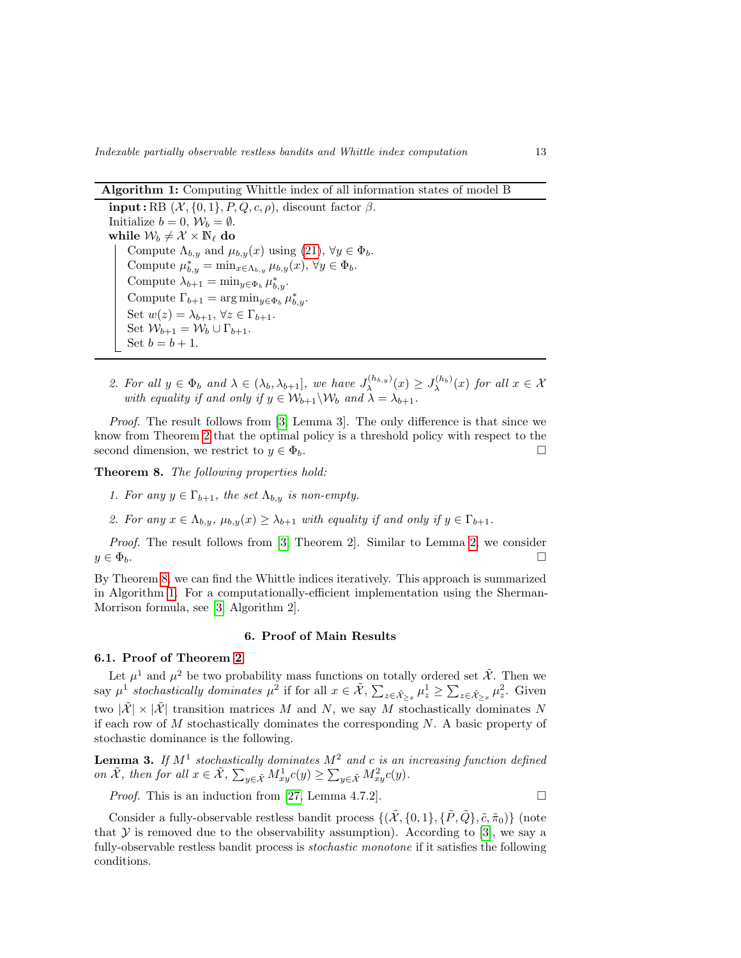Indexable partially observable restless bandits and Whittle index computation 13

Algorithm 1: Computing Whittle index of all information states of model B

input : RB  $(X, \{0, 1\}, P, Q, c, \rho)$ , discount factor  $\beta$ . Initialize  $b = 0$ ,  $\mathcal{W}_b = \emptyset$ . while  $\mathcal{W}_b\neq \mathcal{X}\times \mathbb{N}_\ell$  do Compute  $\Lambda_{b,y}$  and  $\mu_{b,y}(x)$  using  $(21)$ ,  $\forall y \in \Phi_b$ . Compute  $\mu_{b,y}^* = \min_{x \in \Lambda_{b,y}} \mu_{b,y}(x), \forall y \in \Phi_b$ . Compute  $\lambda_{b+1} = \min_{y \in \Phi_b} \mu_{b,y}^*$ . Compute  $\Gamma_{b+1} = \arg \min_{y \in \Phi_b} \mu_{b,y}^*$ . Set  $w(z) = \lambda_{b+1}$ ,  $\forall z \in \Gamma_{b+1}$ . Set  $\mathcal{W}_{b+1} = \mathcal{W}_b \cup \Gamma_{b+1}$ . Set  $b = b + 1$ .

<span id="page-12-2"></span>2. For all  $y \in \Phi_b$  and  $\lambda \in (\lambda_b, \lambda_{b+1}]$ , we have  $J_{\lambda}^{(h_{b,y})}(x) \geq J_{\lambda}^{(h_b)}(x)$  for all  $x \in \mathcal{X}$ with equality if and only if  $y \in W_{b+1} \backslash W_b$  and  $\lambda = \lambda_{b+1}$ .

Proof. The result follows from [\[3,](#page-21-11) Lemma 3]. The only difference is that since we know from Theorem [2](#page-8-1) that the optimal policy is a threshold policy with respect to the second dimension, we restrict to  $y \in \Phi_b$ .

<span id="page-12-1"></span>Theorem 8. The following properties hold:

- 1. For any  $y \in \Gamma_{b+1}$ , the set  $\Lambda_{b,y}$  is non-empty.
- 2. For any  $x \in \Lambda_{b,q}$ ,  $\mu_{b,q}(x) \geq \lambda_{b+1}$  with equality if and only if  $y \in \Gamma_{b+1}$ .

Proof. The result follows from [\[3,](#page-21-11) Theorem 2]. Similar to Lemma [2,](#page-11-2) we consider  $y \in \Phi_b$ .

By Theorem [8,](#page-12-1) we can find the Whittle indices iteratively. This approach is summarized in Algorithm [1.](#page-12-2) For a computationally-efficient implementation using the Sherman-Morrison formula, see [\[3,](#page-21-11) Algorithm 2].

### 6. Proof of Main Results

# <span id="page-12-0"></span>6.1. Proof of Theorem [2](#page-8-1)

Let  $\mu^1$  and  $\mu^2$  be two probability mass functions on totally ordered set  $\tilde{\mathcal{X}}$ . Then we say  $\mu^1$  stochastically dominates  $\mu^2$  if for all  $x \in \tilde{\mathcal{X}}, \sum_{z \in \tilde{\mathcal{X}}_{>x}} \mu_z^1 \ge \sum_{z \in \tilde{\mathcal{X}}_{>x}} \mu_z^2$ . Given two  $|\tilde{\mathcal{X}}| \times |\tilde{\mathcal{X}}|$  transition matrices M and N, we say M stochastically dominates N if each row of  $M$  stochastically dominates the corresponding  $N$ . A basic property of stochastic dominance is the following.

<span id="page-12-3"></span>**Lemma 3.** If  $M^1$  stochastically dominates  $M^2$  and c is an increasing function defined on  $\tilde{\mathcal{X}}$ , then for all  $x \in \tilde{\mathcal{X}}$ ,  $\sum_{y \in \tilde{\mathcal{X}}} M_{xy}^1 c(y) \ge \sum_{y \in \tilde{\mathcal{X}}} M_{xy}^2 c(y)$ .

*Proof.* This is an induction from [\[27,](#page-22-13) Lemma 4.7.2].  $\square$ 

Consider a fully-observable restless bandit process  $\{(\tilde{\mathcal{X}}, \{0,1\}, \{\tilde{P}, \tilde{Q}\}, \tilde{c}, \tilde{\pi}_0)\}\$  (note that  $Y$  is removed due to the observability assumption). According to [\[3\]](#page-21-11), we say a fully-observable restless bandit process is *stochastic monotone* if it satisfies the following conditions.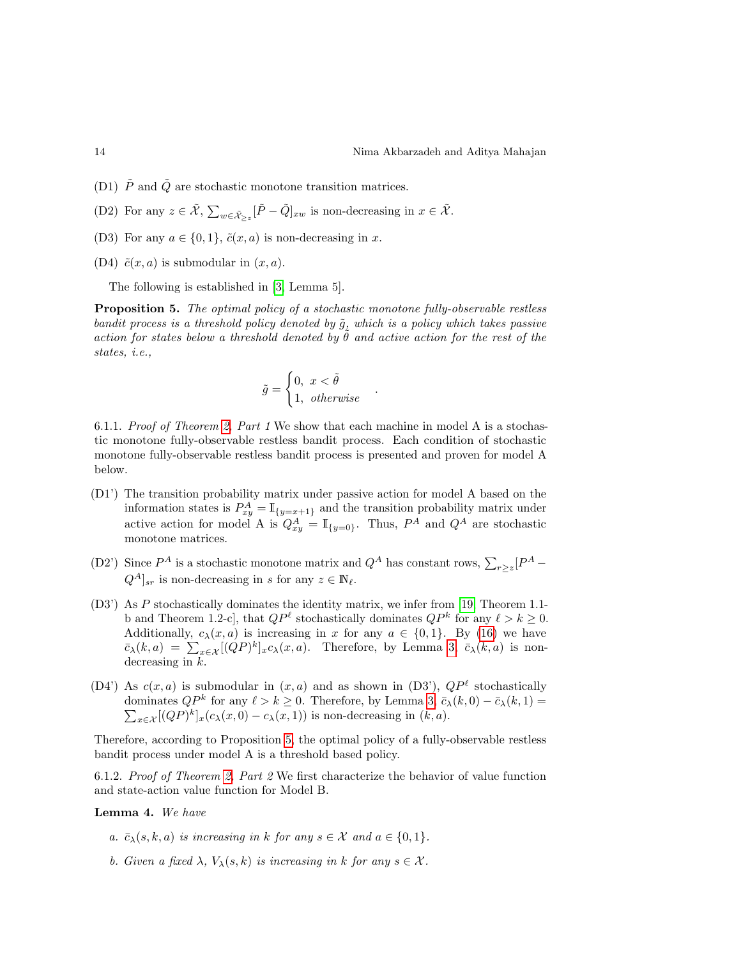- (D1)  $\tilde{P}$  and  $\tilde{Q}$  are stochastic monotone transition matrices.
- (D2) For any  $z \in \tilde{\mathcal{X}}, \sum_{w \in \tilde{\mathcal{X}}_{>z}} [\tilde{P} \tilde{Q}]_{xw}$  is non-decreasing in  $x \in \tilde{\mathcal{X}}$ .
- (D3) For any  $a \in \{0, 1\}$ ,  $\tilde{c}(x, a)$  is non-decreasing in x.
- (D4)  $\tilde{c}(x, a)$  is submodular in  $(x, a)$ .

The following is established in [\[3,](#page-21-11) Lemma 5].

**Proposition 5.** The optimal policy of a stochastic monotone fully-observable restless bandit process is a threshold policy denoted by  $\tilde{g}$ , which is a policy which takes passive action for states below a threshold denoted by  $\hat{\theta}$  and active action for the rest of the states, i.e.,

$$
\tilde{g} = \begin{cases} 0, \ x < \tilde{\theta} \\ 1, \ \ otherwise \end{cases}
$$

<span id="page-13-0"></span>.

6.1.1. Proof of Theorem [2,](#page-8-1) Part 1 We show that each machine in model A is a stochastic monotone fully-observable restless bandit process. Each condition of stochastic monotone fully-observable restless bandit process is presented and proven for model A below.

- (D1') The transition probability matrix under passive action for model A based on the information states is  $P_{xy}^A = \mathbb{I}_{\{y=x+1\}}$  and the transition probability matrix under active action for model A is  $Q_{xy}^A = \mathbb{I}_{\{y=0\}}$ . Thus,  $P^A$  and  $Q^A$  are stochastic monotone matrices.
- (D2') Since  $P^A$  is a stochastic monotone matrix and  $Q^A$  has constant rows,  $\sum_{r\geq 2} [P^A Q^A|_{sr}$  is non-decreasing in s for any  $z \in \mathbb{N}_{\ell}$ .
- (D3') As P stochastically dominates the identity matrix, we infer from [\[19,](#page-22-14) Theorem 1.1 b and Theorem 1.2-c], that  $QP^{\ell}$  stochastically dominates  $QP^{k}$  for any  $\ell > k \geq 0$ . Additionally,  $c_{\lambda}(x, a)$  is increasing in x for any  $a \in \{0, 1\}$ . By [\(16\)](#page-7-0) we have  $\bar{c}_{\lambda}(k,a) = \sum_{x \in \mathcal{X}} [(QP)^k]_x c_{\lambda}(x,a)$ . Therefore, by Lemma [3,](#page-12-3)  $\bar{c}_{\lambda}(k,a)$  is nondecreasing in  $k$ .
- (D4') As  $c(x, a)$  is submodular in  $(x, a)$  and as shown in (D3'),  $QP^{\ell}$  stochastically dominates  $QP^k$  for any  $\ell > k \geq 0$ . Therefore, by Lemma [3,](#page-12-3)  $\bar{c}_{\lambda}(k,0) - \bar{c}_{\lambda}(k,1) =$  $\sum_{x \in \mathcal{X}} [(QP)^k]_x (c_\lambda(x, 0) - c_\lambda(x, 1))$  is non-decreasing in  $(k, a)$ .

Therefore, according to Proposition [5,](#page-13-0) the optimal policy of a fully-observable restless bandit process under model A is a threshold based policy.

6.1.2. Proof of Theorem [2,](#page-8-1) Part 2 We first characterize the behavior of value function and state-action value function for Model B.

### Lemma 4. We have

- a.  $\bar{c}_{\lambda}(s, k, a)$  is increasing in k for any  $s \in \mathcal{X}$  and  $a \in \{0, 1\}.$
- b. Given a fixed  $\lambda$ ,  $V_{\lambda}(s, k)$  is increasing in k for any  $s \in \mathcal{X}$ .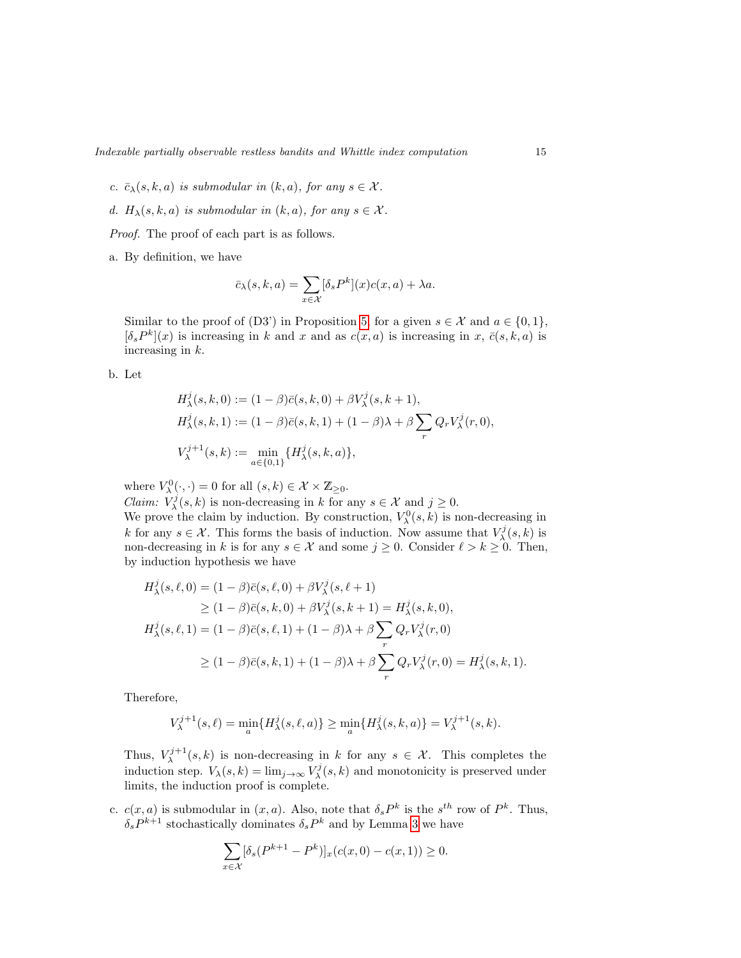- c.  $\bar{c}_{\lambda}(s, k, a)$  is submodular in  $(k, a)$ , for any  $s \in \mathcal{X}$ .
- d.  $H_{\lambda}(s, k, a)$  is submodular in  $(k, a)$ , for any  $s \in \mathcal{X}$ .

Proof. The proof of each part is as follows.

a. By definition, we have

$$
\bar{c}_{\lambda}(s,k,a) = \sum_{x \in \mathcal{X}} [\delta_s P^k](x) c(x,a) + \lambda a.
$$

Similar to the proof of (D3') in Proposition [5,](#page-13-0) for a given  $s \in \mathcal{X}$  and  $a \in \{0,1\}$ ,  $[\delta_s P^k](x)$  is increasing in k and x and as  $c(x, a)$  is increasing in x,  $\bar{c}(s, k, a)$  is increasing in k.

b. Let

$$
H_{\lambda}^{j}(s, k, 0) := (1 - \beta)\bar{c}(s, k, 0) + \beta V_{\lambda}^{j}(s, k + 1),
$$
  
\n
$$
H_{\lambda}^{j}(s, k, 1) := (1 - \beta)\bar{c}(s, k, 1) + (1 - \beta)\lambda + \beta \sum_{r} Q_{r} V_{\lambda}^{j}(r, 0),
$$
  
\n
$$
V_{\lambda}^{j+1}(s, k) := \min_{a \in \{0, 1\}} \{H_{\lambda}^{j}(s, k, a)\},
$$

where  $V_{\lambda}^{0}(\cdot,\cdot)=0$  for all  $(s,k)\in\mathcal{X}\times\mathbb{Z}_{\geq0}$ .

*Claim:*  $V^j_\lambda(s, k)$  is non-decreasing in k for any  $s \in \mathcal{X}$  and  $j \geq 0$ . We prove the claim by induction. By construction,  $V^0_\lambda(s, k)$  is non-decreasing in k for any  $s \in \mathcal{X}$ . This forms the basis of induction. Now assume that  $V^j_{\lambda}(s, k)$  is non-decreasing in k is for any  $s \in \mathcal{X}$  and some  $j \geq 0$ . Consider  $\ell > k \geq 0$ . Then, by induction hypothesis we have

$$
H_{\lambda}^{j}(s,\ell,0) = (1 - \beta)\bar{c}(s,\ell,0) + \beta V_{\lambda}^{j}(s,\ell+1)
$$
  
\n
$$
\geq (1 - \beta)\bar{c}(s,k,0) + \beta V_{\lambda}^{j}(s,k+1) = H_{\lambda}^{j}(s,k,0),
$$
  
\n
$$
H_{\lambda}^{j}(s,\ell,1) = (1 - \beta)\bar{c}(s,\ell,1) + (1 - \beta)\lambda + \beta \sum_{r} Q_{r} V_{\lambda}^{j}(r,0)
$$
  
\n
$$
\geq (1 - \beta)\bar{c}(s,k,1) + (1 - \beta)\lambda + \beta \sum_{r} Q_{r} V_{\lambda}^{j}(r,0) = H_{\lambda}^{j}(s,k,1).
$$

Therefore,

$$
V_{\lambda}^{j+1}(s,\ell) = \min_{a} \{ H_{\lambda}^{j}(s,\ell,a) \} \ge \min_{a} \{ H_{\lambda}^{j}(s,k,a) \} = V_{\lambda}^{j+1}(s,k).
$$

Thus,  $V_{\lambda}^{j+1}(s,k)$  is non-decreasing in k for any  $s \in \mathcal{X}$ . This completes the induction step.  $V_{\lambda}(s,k) = \lim_{j \to \infty} V_{\lambda}^{j}(s,k)$  and monotonicity is preserved under limits, the induction proof is complete.

c.  $c(x, a)$  is submodular in  $(x, a)$ . Also, note that  $\delta_s P^k$  is the  $s^{th}$  row of  $P^k$ . Thus,  $\delta_s P^{k+1}$  stochastically dominates  $\delta_s P^k$  and by Lemma [3](#page-12-3) we have

$$
\sum_{x \in \mathcal{X}} [\delta_s (P^{k+1} - P^k)]_x (c(x, 0) - c(x, 1)) \ge 0.
$$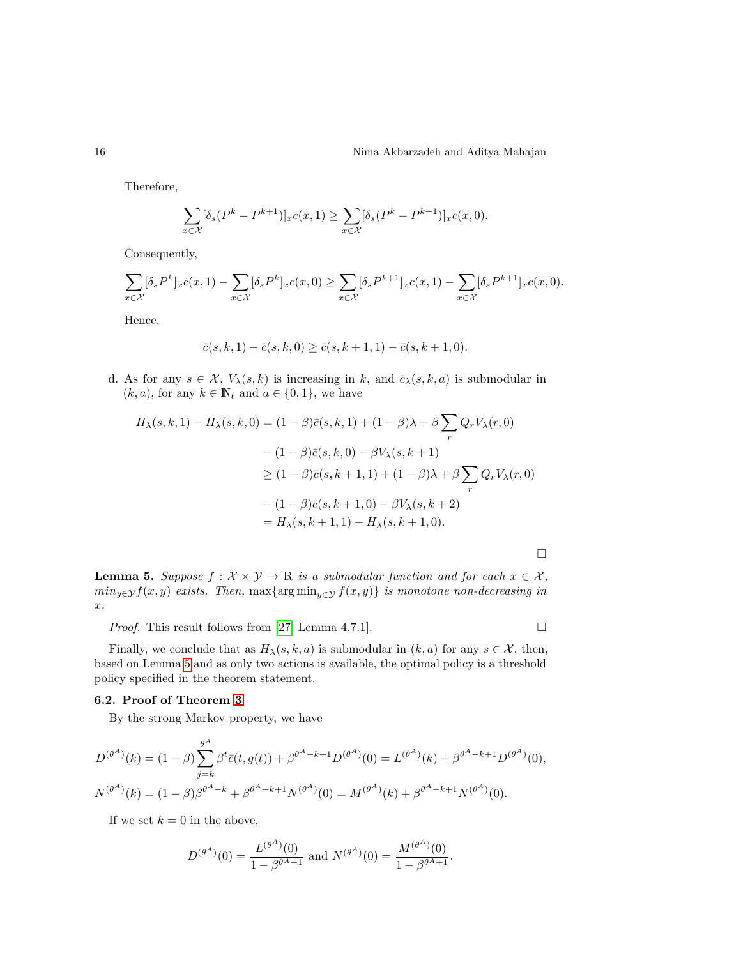Therefore,

$$
\sum_{x \in \mathcal{X}} [\delta_s (P^k - P^{k+1})]_x c(x, 1) \ge \sum_{x \in \mathcal{X}} [\delta_s (P^k - P^{k+1})]_x c(x, 0).
$$

Consequently,

$$
\sum_{x \in \mathcal{X}} [\delta_s P^k]_x c(x, 1) - \sum_{x \in \mathcal{X}} [\delta_s P^k]_x c(x, 0) \ge \sum_{x \in \mathcal{X}} [\delta_s P^{k+1}]_x c(x, 1) - \sum_{x \in \mathcal{X}} [\delta_s P^{k+1}]_x c(x, 0).
$$

Hence,

$$
\bar{c}(s,k,1) - \bar{c}(s,k,0) \ge \bar{c}(s,k+1,1) - \bar{c}(s,k+1,0).
$$

d. As for any  $s \in \mathcal{X}$ ,  $V_{\lambda}(s, k)$  is increasing in k, and  $\bar{c}_{\lambda}(s, k, a)$  is submodular in  $(k, a)$ , for any  $k \in \mathbb{N}_{\ell}$  and  $a \in \{0, 1\}$ , we have

$$
H_{\lambda}(s,k,1) - H_{\lambda}(s,k,0) = (1 - \beta)\bar{c}(s,k,1) + (1 - \beta)\lambda + \beta \sum_{r} Q_{r}V_{\lambda}(r,0)
$$

$$
- (1 - \beta)\bar{c}(s,k,0) - \beta V_{\lambda}(s,k+1)
$$

$$
\geq (1 - \beta)\bar{c}(s,k+1,1) + (1 - \beta)\lambda + \beta \sum_{r} Q_{r}V_{\lambda}(r,0)
$$

$$
- (1 - \beta)\bar{c}(s,k+1,0) - \beta V_{\lambda}(s,k+2)
$$

$$
= H_{\lambda}(s,k+1,1) - H_{\lambda}(s,k+1,0).
$$

□

<span id="page-15-0"></span>**Lemma 5.** Suppose  $f : \mathcal{X} \times \mathcal{Y} \to \mathbb{R}$  is a submodular function and for each  $x \in \mathcal{X}$ ,  $min_{y \in \mathcal{Y}} f(x, y)$  exists. Then,  $max{arg min_{y \in \mathcal{Y}} f(x, y)}$  is monotone non-decreasing in x.

*Proof.* This result follows from [\[27,](#page-22-13) Lemma 4.7.1].  $\square$ 

Finally, we conclude that as  $H_{\lambda}(s, k, a)$  is submodular in  $(k, a)$  for any  $s \in \mathcal{X}$ , then, based on Lemma [5](#page-15-0) and as only two actions is available, the optimal policy is a threshold policy specified in the theorem statement.

# 6.2. Proof of Theorem [3](#page-9-0)

By the strong Markov property, we have

$$
D^{(\theta^A)}(k) = (1 - \beta) \sum_{j=k}^{\theta^A} \beta^t \bar{c}(t, g(t)) + \beta^{\theta^A - k + 1} D^{(\theta^A)}(0) = L^{(\theta^A)}(k) + \beta^{\theta^A - k + 1} D^{(\theta^A)}(0),
$$
  

$$
N^{(\theta^A)}(k) = (1 - \beta) \beta^{\theta^A - k} + \beta^{\theta^A - k + 1} N^{(\theta^A)}(0) = M^{(\theta^A)}(k) + \beta^{\theta^A - k + 1} N^{(\theta^A)}(0).
$$

If we set  $k = 0$  in the above,

$$
D^{(\theta^A)}(0) = \frac{L^{(\theta^A)}(0)}{1 - \beta^{\theta^A + 1}} \text{ and } N^{(\theta^A)}(0) = \frac{M^{(\theta^A)}(0)}{1 - \beta^{\theta^A + 1}}.
$$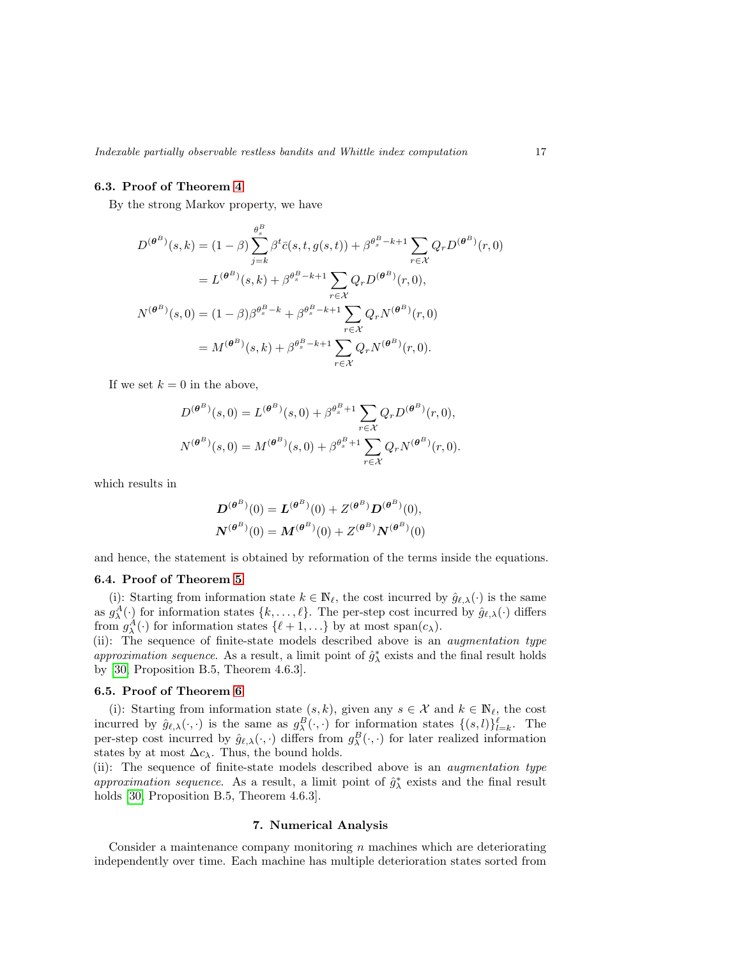# 6.3. Proof of Theorem [4](#page-9-1)

By the strong Markov property, we have

$$
D^{(\theta^{B})}(s,k) = (1 - \beta) \sum_{j=k}^{\theta^{B}_{s}} \beta^{t} \bar{c}(s,t,g(s,t)) + \beta^{\theta^{B}_{s} - k + 1} \sum_{r \in \mathcal{X}} Q_{r} D^{(\theta^{B})}(r,0)
$$
  

$$
= L^{(\theta^{B})}(s,k) + \beta^{\theta^{B}_{s} - k + 1} \sum_{r \in \mathcal{X}} Q_{r} D^{(\theta^{B})}(r,0),
$$
  

$$
N^{(\theta^{B})}(s,0) = (1 - \beta) \beta^{\theta^{B}_{s} - k} + \beta^{\theta^{B}_{s} - k + 1} \sum_{r \in \mathcal{X}} Q_{r} N^{(\theta^{B})}(r,0)
$$
  

$$
= M^{(\theta^{B})}(s,k) + \beta^{\theta^{B}_{s} - k + 1} \sum_{r \in \mathcal{X}} Q_{r} N^{(\theta^{B})}(r,0).
$$

If we set  $k = 0$  in the above,

$$
D^{(\theta^B)}(s,0) = L^{(\theta^B)}(s,0) + \beta^{\theta_s^B + 1} \sum_{r \in \mathcal{X}} Q_r D^{(\theta^B)}(r,0),
$$
  

$$
N^{(\theta^B)}(s,0) = M^{(\theta^B)}(s,0) + \beta^{\theta_s^B + 1} \sum_{r \in \mathcal{X}} Q_r N^{(\theta^B)}(r,0).
$$

which results in

$$
D^{(\theta^{B})}(0) = L^{(\theta^{B})}(0) + Z^{(\theta^{B})}D^{(\theta^{B})}(0),
$$
  

$$
N^{(\theta^{B})}(0) = M^{(\theta^{B})}(0) + Z^{(\theta^{B})}N^{(\theta^{B})}(0)
$$

and hence, the statement is obtained by reformation of the terms inside the equations.

### 6.4. Proof of Theorem [5](#page-10-0)

(i): Starting from information state  $k \in \mathbb{N}_{\ell}$ , the cost incurred by  $\hat{g}_{\ell,\lambda}(\cdot)$  is the same as  $g_{\lambda}^{A}(\cdot)$  for information states  $\{k, \ldots, \ell\}$ . The per-step cost incurred by  $\hat{g}_{\ell, \lambda}(\cdot)$  differs from  $g_{\lambda}^{A}(\cdot)$  for information states  $\{\ell+1,\ldots\}$  by at most span $(c_{\lambda})$ .

(ii): The sequence of finite-state models described above is an *augmentation type* approximation sequence. As a result, a limit point of  $\hat{g}^*_{\lambda}$  exists and the final result holds by [\[30,](#page-23-6) Proposition B.5, Theorem 4.6.3].

### 6.5. Proof of Theorem [6](#page-10-1)

(i): Starting from information state  $(s, k)$ , given any  $s \in \mathcal{X}$  and  $k \in \mathbb{N}_{\ell}$ , the cost incurred by  $\hat{g}_{\ell,\lambda}(\cdot,\cdot)$  is the same as  $g_{\lambda}^{B}(\cdot,\cdot)$  for information states  $\{(s,l)\}_{l=k}^{\ell}$ . The per-step cost incurred by  $\hat{g}_{\ell,\lambda}(\cdot,\cdot)$  differs from  $g_{\lambda}^{B}(\cdot,\cdot)$  for later realized information states by at most  $\Delta c_{\lambda}$ . Thus, the bound holds.

(ii): The sequence of finite-state models described above is an *augmentation type* approximation sequence. As a result, a limit point of  $\hat{g}^*_{\lambda}$  exists and the final result holds [\[30,](#page-23-6) Proposition B.5, Theorem 4.6.3].

# 7. Numerical Analysis

<span id="page-16-0"></span>Consider a maintenance company monitoring  $n$  machines which are deteriorating independently over time. Each machine has multiple deterioration states sorted from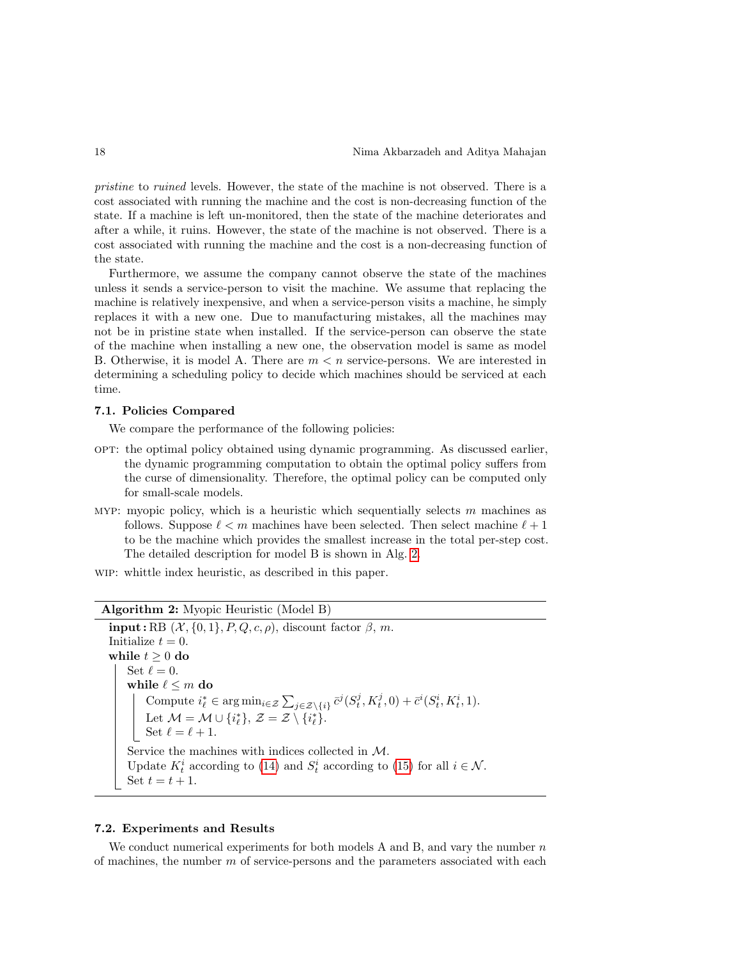pristine to ruined levels. However, the state of the machine is not observed. There is a cost associated with running the machine and the cost is non-decreasing function of the state. If a machine is left un-monitored, then the state of the machine deteriorates and after a while, it ruins. However, the state of the machine is not observed. There is a cost associated with running the machine and the cost is a non-decreasing function of the state.

Furthermore, we assume the company cannot observe the state of the machines unless it sends a service-person to visit the machine. We assume that replacing the machine is relatively inexpensive, and when a service-person visits a machine, he simply replaces it with a new one. Due to manufacturing mistakes, all the machines may not be in pristine state when installed. If the service-person can observe the state of the machine when installing a new one, the observation model is same as model B. Otherwise, it is model A. There are  $m < n$  service-persons. We are interested in determining a scheduling policy to decide which machines should be serviced at each time.

### 7.1. Policies Compared

We compare the performance of the following policies:

- opt: the optimal policy obtained using dynamic programming. As discussed earlier, the dynamic programming computation to obtain the optimal policy suffers from the curse of dimensionality. Therefore, the optimal policy can be computed only for small-scale models.
- MYP: myopic policy, which is a heuristic which sequentially selects  $m$  machines as follows. Suppose  $\ell < m$  machines have been selected. Then select machine  $\ell + 1$ to be the machine which provides the smallest increase in the total per-step cost. The detailed description for model B is shown in Alg. [2.](#page-17-0)

wip: whittle index heuristic, as described in this paper.

Algorithm 2: Myopic Heuristic (Model B)

 $\text{input}: \text{RB } (\mathcal{X}, \{0, 1\}, P, Q, c, \rho),$  discount factor  $\beta, m$ . Initialize  $t = 0$ . while  $t \geq 0$  do Set  $\ell = 0$ . while  $\ell \leq m$  do Compute  $i_{\ell}^* \in \arg \min_{i \in \mathcal{Z}} \sum_{j \in \mathcal{Z} \setminus \{i\}} \bar{c}^j(S_t^j, K_t^j, 0) + \bar{c}^i(S_t^i, K_t^i, 1).$ Let  $\mathcal{M} = \mathcal{M} \cup \{i^*_{\ell}\}, \, \mathcal{Z} = \mathcal{Z} \setminus \{i^*_{\ell}\}.$ Set  $\ell = \ell + 1$ . Service the machines with indices collected in M. Update  $K_t^i$  according to [\(14\)](#page-6-2) and  $S_t^i$  according to [\(15\)](#page-6-4) for all  $i \in \mathcal{N}$ . Set  $t = t + 1$ .

#### <span id="page-17-0"></span>7.2. Experiments and Results

We conduct numerical experiments for both models A and B, and vary the number  $n$ of machines, the number  $m$  of service-persons and the parameters associated with each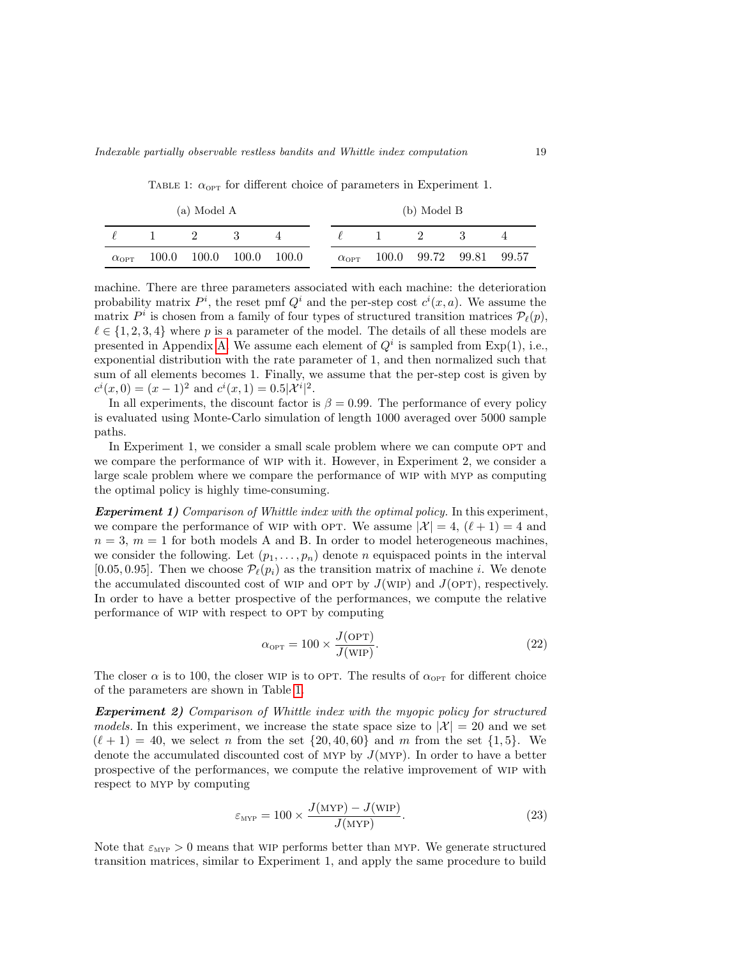TABLE 1:  $\alpha_{\text{OPT}}$  for different choice of parameters in Experiment 1.

<span id="page-18-0"></span>

| (a) Model A        |       |       |       |       |  | (b) Model B        |       |  |                   |  |  |
|--------------------|-------|-------|-------|-------|--|--------------------|-------|--|-------------------|--|--|
|                    |       |       |       |       |  |                    |       |  |                   |  |  |
| $\alpha_{\rm OPT}$ | 100.0 | 100.0 | 100.0 | 100.0 |  | $\alpha_{\rm OPT}$ | 100.0 |  | 99.72 99.81 99.57 |  |  |

machine. There are three parameters associated with each machine: the deterioration probability matrix  $P^i$ , the reset pmf  $Q^i$  and the per-step cost  $c^i(x, a)$ . We assume the matrix  $P^i$  is chosen from a family of four types of structured transition matrices  $\mathcal{P}_{\ell}(p)$ ,  $\ell \in \{1, 2, 3, 4\}$  where p is a parameter of the model. The details of all these models are presented in Appendix [A.](#page-20-0) We assume each element of  $Q<sup>i</sup>$  is sampled from Exp(1), i.e., exponential distribution with the rate parameter of 1, and then normalized such that sum of all elements becomes 1. Finally, we assume that the per-step cost is given by  $c^{i}(x, 0) = (x - 1)^{2}$  and  $c^{i}(x, 1) = 0.5|\mathcal{X}^{i}|^{2}$ .

In all experiments, the discount factor is  $\beta = 0.99$ . The performance of every policy is evaluated using Monte-Carlo simulation of length 1000 averaged over 5000 sample paths.

In Experiment 1, we consider a small scale problem where we can compute OPT and we compare the performance of wip with it. However, in Experiment 2, we consider a large scale problem where we compare the performance of wip with myp as computing the optimal policy is highly time-consuming.

**Experiment 1)** Comparison of Whittle index with the optimal policy. In this experiment, we compare the performance of WIP with OPT. We assume  $|\mathcal{X}| = 4$ ,  $(\ell + 1) = 4$  and  $n = 3$ ,  $m = 1$  for both models A and B. In order to model heterogeneous machines, we consider the following. Let  $(p_1, \ldots, p_n)$  denote n equispaced points in the interval [0.05, 0.95]. Then we choose  $P_{\ell}(p_i)$  as the transition matrix of machine *i*. We denote the accumulated discounted cost of WIP and OPT by  $J(WIP)$  and  $J(OPT)$ , respectively. In order to have a better prospective of the performances, we compute the relative performance of WIP with respect to OPT by computing

$$
\alpha_{\text{OPT}} = 100 \times \frac{J(\text{OPT})}{J(\text{WIP})}.
$$
\n(22)

The closer  $\alpha$  is to 100, the closer WIP is to OPT. The results of  $\alpha_{\text{OPT}}$  for different choice of the parameters are shown in Table [1.](#page-18-0)

Experiment 2) Comparison of Whittle index with the myopic policy for structured models. In this experiment, we increase the state space size to  $|\mathcal{X}| = 20$  and we set  $(\ell + 1) = 40$ , we select n from the set  $\{20, 40, 60\}$  and m from the set  $\{1, 5\}$ . We denote the accumulated discounted cost of MYP by  $J(MYP)$ . In order to have a better prospective of the performances, we compute the relative improvement of wip with respect to myp by computing

$$
\varepsilon_{\text{MYP}} = 100 \times \frac{J(\text{MYP}) - J(\text{WIP})}{J(\text{MYP})}.
$$
\n(23)

Note that  $\varepsilon_{\text{MYP}} > 0$  means that WIP performs better than MYP. We generate structured transition matrices, similar to Experiment 1, and apply the same procedure to build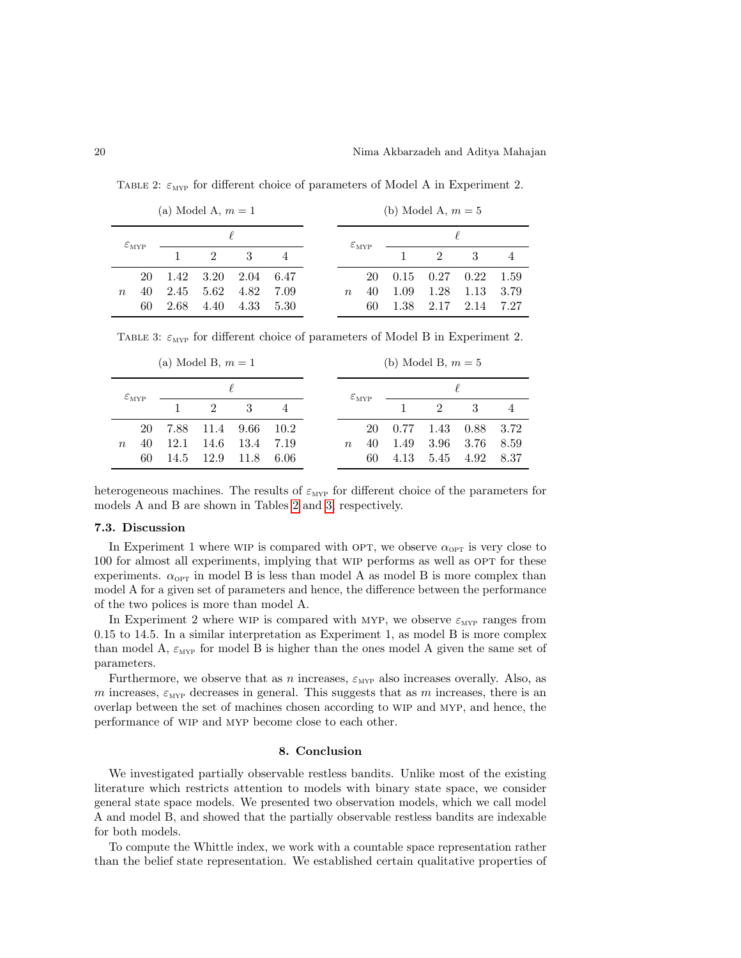(a) Model A,  $m = 1$  $\varepsilon_{\text{MYP}}$  $\ell$ 1 2 3 4  $\boldsymbol{n}$ 20 1.42 3.20 2.04 6.47 40 2.45 5.62 4.82 7.09 60 2.68 4.40 4.33 5.30 (b) Model A,  $m = 5$  $\varepsilon_{\text{MYP}}$  $\ell$ 1 2 3 4  $\overline{n}$ 20 0.15 0.27 0.22 1.59 40 1.09 1.28 1.13 3.79 60 1.38 2.17 2.14 7.27

<span id="page-19-1"></span>TABLE 2:  $\varepsilon_{\text{MYP}}$  for different choice of parameters of Model A in Experiment 2.

<span id="page-19-2"></span>TABLE 3:  $\varepsilon_{\text{MYP}}$  for different choice of parameters of Model B in Experiment 2.

| (a) Model B, $m = 1$ |                            |      |                             |      |        | (b) Model B, $m=5$         |    |      |                             |      |                |  |
|----------------------|----------------------------|------|-----------------------------|------|--------|----------------------------|----|------|-----------------------------|------|----------------|--|
|                      | $\varepsilon_{\text{MYP}}$ |      |                             |      |        | $\varepsilon_{\text{MYP}}$ |    |      |                             |      |                |  |
|                      |                            |      | $\mathcal{D}_{\mathcal{L}}$ | 3    | 4      |                            |    |      | $\mathcal{D}_{\mathcal{L}}$ | 3    | $\overline{4}$ |  |
|                      | 20                         |      | 7.88 11.4 9.66              |      | - 10.2 |                            | 20 | 0.77 | 1.43                        | 0.88 | 3.72           |  |
| $\eta$               | 40                         | 12.1 | 14.6                        | 13.4 | 7.19   | $n_{\rm c}$                | 40 | 1.49 | 3.96                        | 3.76 | 8.59           |  |
|                      | 60                         | 14.5 | -12.9                       | 11.8 | 6.06   |                            | 60 | 4.13 | 5.45                        | 4.92 | 8.37           |  |

heterogeneous machines. The results of  $\varepsilon_{\text{MYP}}$  for different choice of the parameters for models A and B are shown in Tables [2](#page-19-1) and [3,](#page-19-2) respectively.

### 7.3. Discussion

In Experiment 1 where WIP is compared with OPT, we observe  $\alpha_{\text{OPT}}$  is very close to 100 for almost all experiments, implying that WIP performs as well as OPT for these experiments.  $\alpha_{\text{OPT}}$  in model B is less than model A as model B is more complex than model A for a given set of parameters and hence, the difference between the performance of the two polices is more than model A.

In Experiment 2 where WIP is compared with MYP, we observe  $\varepsilon_{\text{MYP}}$  ranges from 0.15 to 14.5. In a similar interpretation as Experiment 1, as model B is more complex than model A,  $\varepsilon_{\text{MYP}}$  for model B is higher than the ones model A given the same set of parameters.

Furthermore, we observe that as n increases,  $\varepsilon_{\text{MYP}}$  also increases overally. Also, as m increases,  $\varepsilon_{\text{MYP}}$  decreases in general. This suggests that as m increases, there is an overlap between the set of machines chosen according to wip and myp, and hence, the performance of wip and myp become close to each other.

# 8. Conclusion

<span id="page-19-0"></span>We investigated partially observable restless bandits. Unlike most of the existing literature which restricts attention to models with binary state space, we consider general state space models. We presented two observation models, which we call model A and model B, and showed that the partially observable restless bandits are indexable for both models.

To compute the Whittle index, we work with a countable space representation rather than the belief state representation. We established certain qualitative properties of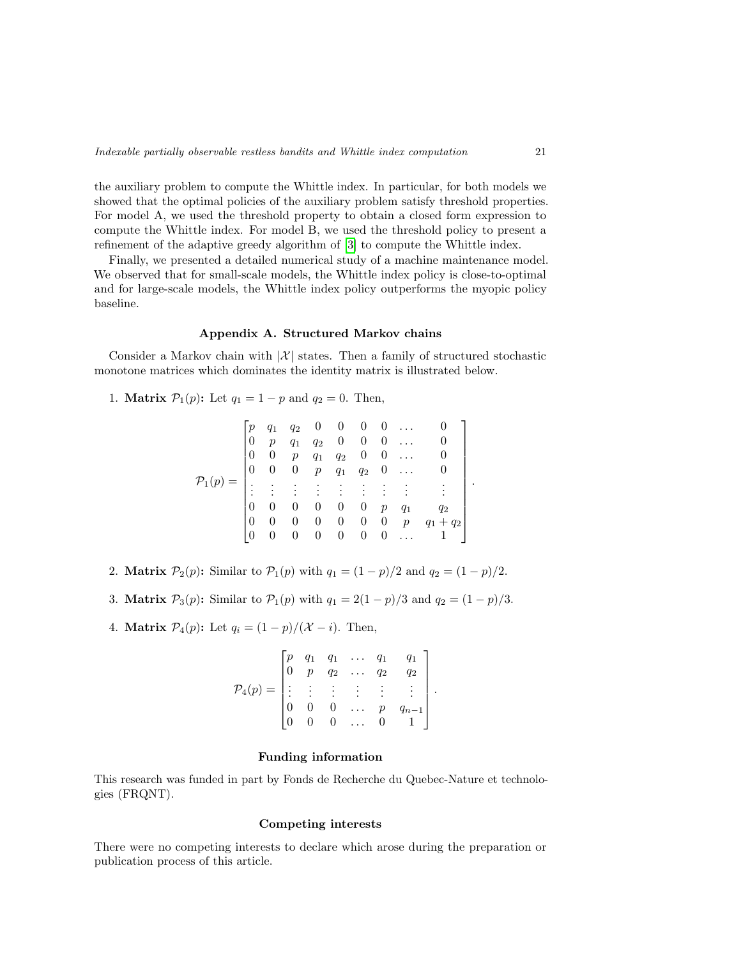the auxiliary problem to compute the Whittle index. In particular, for both models we showed that the optimal policies of the auxiliary problem satisfy threshold properties. For model A, we used the threshold property to obtain a closed form expression to compute the Whittle index. For model B, we used the threshold policy to present a refinement of the adaptive greedy algorithm of [\[3\]](#page-21-11) to compute the Whittle index.

Finally, we presented a detailed numerical study of a machine maintenance model. We observed that for small-scale models, the Whittle index policy is close-to-optimal and for large-scale models, the Whittle index policy outperforms the myopic policy baseline.

### Appendix A. Structured Markov chains

<span id="page-20-0"></span>Consider a Markov chain with  $|\mathcal{X}|$  states. Then a family of structured stochastic monotone matrices which dominates the identity matrix is illustrated below.

1. Matrix 
$$
P_1(p)
$$
: Let  $q_1 = 1 - p$  and  $q_2 = 0$ . Then,

$$
\mathcal{P}_1(p) = \begin{bmatrix} p & q_1 & q_2 & 0 & 0 & 0 & 0 & \dots & 0 \\ 0 & p & q_1 & q_2 & 0 & 0 & 0 & \dots & 0 \\ 0 & 0 & p & q_1 & q_2 & 0 & 0 & \dots & 0 \\ 0 & 0 & 0 & p & q_1 & q_2 & 0 & \dots & 0 \\ \vdots & \vdots & \vdots & \vdots & \vdots & \vdots & \vdots & \vdots & \vdots \\ 0 & 0 & 0 & 0 & 0 & 0 & p & q_1 & q_2 \\ 0 & 0 & 0 & 0 & 0 & 0 & 0 & p & q_1 + q_2 \\ 0 & 0 & 0 & 0 & 0 & 0 & 0 & \dots & 1 \end{bmatrix}.
$$

- 2. **Matrix**  $P_2(p)$ : Similar to  $P_1(p)$  with  $q_1 = (1 p)/2$  and  $q_2 = (1 p)/2$ .
- 3. **Matrix**  $P_3(p)$ : Similar to  $P_1(p)$  with  $q_1 = 2(1 p)/3$  and  $q_2 = (1 p)/3$ .
- 4. **Matrix**  $\mathcal{P}_4(p)$ : Let  $q_i = (1-p)/(\mathcal{X} i)$ . Then,

$$
\mathcal{P}_4(p) = \begin{bmatrix} p & q_1 & q_1 & \dots & q_1 & q_1 \\ 0 & p & q_2 & \dots & q_2 & q_2 \\ \vdots & \vdots & \vdots & \vdots & \vdots & \vdots \\ 0 & 0 & 0 & \dots & p & q_{n-1} \\ 0 & 0 & 0 & \dots & 0 & 1 \end{bmatrix}.
$$

### Funding information

This research was funded in part by Fonds de Recherche du Quebec-Nature et technologies (FRQNT).

## Competing interests

There were no competing interests to declare which arose during the preparation or publication process of this article.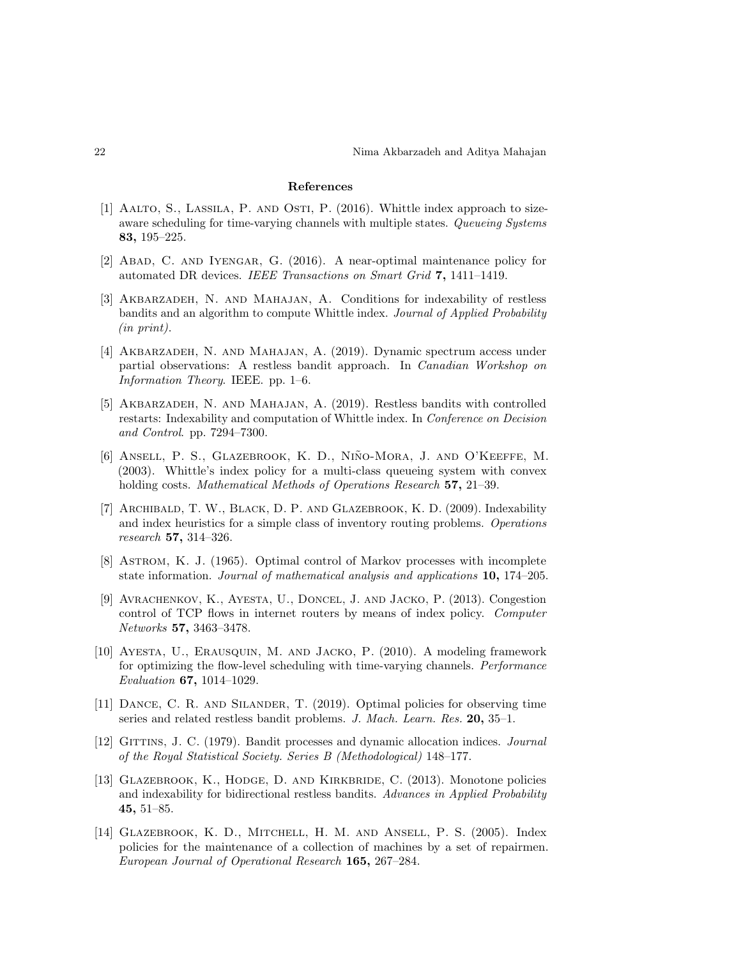#### References

- <span id="page-21-0"></span>[1] Aalto, S., Lassila, P. and Osti, P. (2016). Whittle index approach to sizeaware scheduling for time-varying channels with multiple states. Queueing Systems 83, 195–225.
- <span id="page-21-1"></span>[2] Abad, C. and Iyengar, G. (2016). A near-optimal maintenance policy for automated DR devices. IEEE Transactions on Smart Grid 7, 1411–1419.
- <span id="page-21-11"></span>[3] Akbarzadeh, N. and Mahajan, A. Conditions for indexability of restless bandits and an algorithm to compute Whittle index. Journal of Applied Probability (in print).
- <span id="page-21-2"></span>[4] Akbarzadeh, N. and Mahajan, A. (2019). Dynamic spectrum access under partial observations: A restless bandit approach. In Canadian Workshop on Information Theory. IEEE. pp. 1–6.
- <span id="page-21-5"></span>[5] Akbarzadeh, N. and Mahajan, A. (2019). Restless bandits with controlled restarts: Indexability and computation of Whittle index. In Conference on Decision and Control. pp. 7294–7300.
- <span id="page-21-6"></span>[6] ANSELL, P. S., GLAZEBROOK, K. D., NIÑO-MORA, J. AND O'KEEFFE, M. (2003). Whittle's index policy for a multi-class queueing system with convex holding costs. Mathematical Methods of Operations Research 57, 21-39.
- <span id="page-21-8"></span>[7] ARCHIBALD, T. W., BLACK, D. P. AND GLAZEBROOK, K. D. (2009). Indexability and index heuristics for a simple class of inventory routing problems. Operations research 57, 314–326.
- <span id="page-21-13"></span>[8] Astrom, K. J. (1965). Optimal control of Markov processes with incomplete state information. Journal of mathematical analysis and applications 10, 174–205.
- <span id="page-21-9"></span>[9] Avrachenkov, K., Ayesta, U., Doncel, J. and Jacko, P. (2013). Congestion control of TCP flows in internet routers by means of index policy. Computer Networks 57, 3463–3478.
- <span id="page-21-7"></span>[10] Ayesta, U., Erausquin, M. and Jacko, P. (2010). A modeling framework for optimizing the flow-level scheduling with time-varying channels. Performance Evaluation 67, 1014–1029.
- <span id="page-21-12"></span>[11] Dance, C. R. and Silander, T. (2019). Optimal policies for observing time series and related restless bandit problems. J. Mach. Learn. Res. 20, 35–1.
- <span id="page-21-4"></span>[12] GITTINS, J. C. (1979). Bandit processes and dynamic allocation indices. Journal of the Royal Statistical Society. Series B (Methodological) 148–177.
- <span id="page-21-10"></span>[13] GLAZEBROOK, K., HODGE, D. AND KIRKBRIDE, C. (2013). Monotone policies and indexability for bidirectional restless bandits. Advances in Applied Probability 45, 51–85.
- <span id="page-21-3"></span>[14] Glazebrook, K. D., Mitchell, H. M. and Ansell, P. S. (2005). Index policies for the maintenance of a collection of machines by a set of repairmen. European Journal of Operational Research 165, 267–284.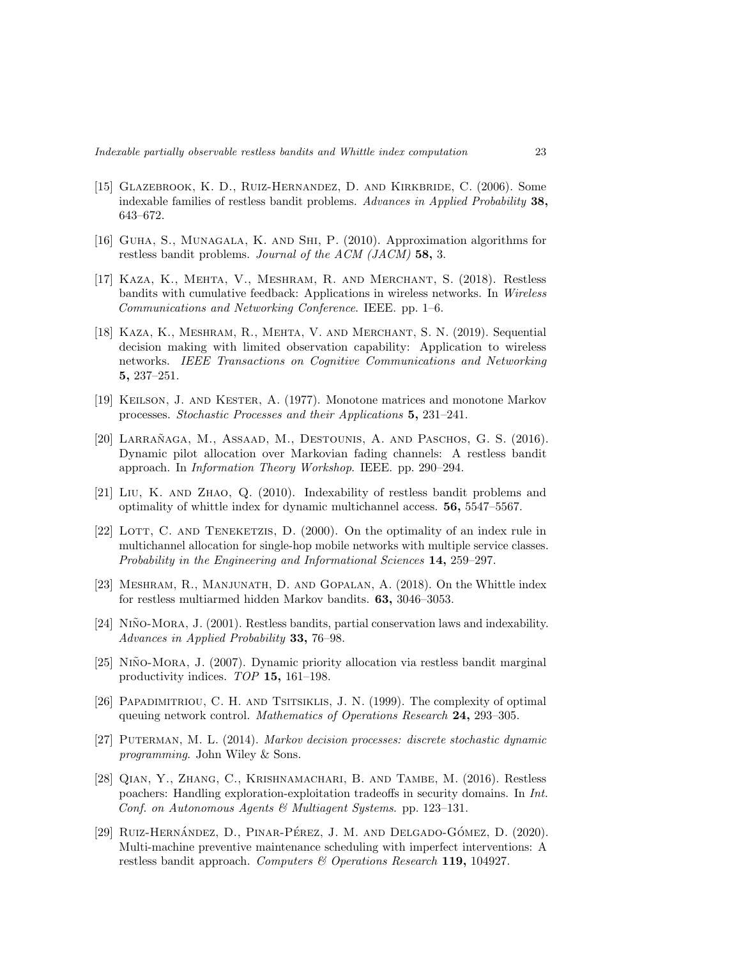- <span id="page-22-7"></span>[15] Glazebrook, K. D., Ruiz-Hernandez, D. and Kirkbride, C. (2006). Some indexable families of restless bandit problems. Advances in Applied Probability 38, 643–672.
- <span id="page-22-0"></span>[16] Guha, S., Munagala, K. and Shi, P. (2010). Approximation algorithms for restless bandit problems. Journal of the ACM (JACM) 58, 3.
- <span id="page-22-9"></span>[17] Kaza, K., Mehta, V., Meshram, R. and Merchant, S. (2018). Restless bandits with cumulative feedback: Applications in wireless networks. In Wireless Communications and Networking Conference. IEEE. pp. 1–6.
- <span id="page-22-1"></span>[18] Kaza, K., Meshram, R., Mehta, V. and Merchant, S. N. (2019). Sequential decision making with limited observation capability: Application to wireless networks. IEEE Transactions on Cognitive Communications and Networking 5, 237–251.
- <span id="page-22-14"></span>[19] Keilson, J. and Kester, A. (1977). Monotone matrices and monotone Markov processes. Stochastic Processes and their Applications 5, 231–241.
- <span id="page-22-2"></span>[20] LARRAÑAGA, M., ASSAAD, M., DESTOUNIS, A. AND PASCHOS, G. S. (2016). Dynamic pilot allocation over Markovian fading channels: A restless bandit approach. In Information Theory Workshop. IEEE. pp. 290–294.
- <span id="page-22-5"></span>[21] Liu, K. and Zhao, Q. (2010). Indexability of restless bandit problems and optimality of whittle index for dynamic multichannel access. 56, 5547–5567.
- <span id="page-22-6"></span>[22] LOTT, C. AND TENEKETZIS, D. (2000). On the optimality of an index rule in multichannel allocation for single-hop mobile networks with multiple service classes. Probability in the Engineering and Informational Sciences 14, 259–297.
- <span id="page-22-3"></span>[23] Meshram, R., Manjunath, D. and Gopalan, A. (2018). On the Whittle index for restless multiarmed hidden Markov bandits. 63, 3046–3053.
- <span id="page-22-10"></span>[24] NIÑO-MORA, J. (2001). Restless bandits, partial conservation laws and indexability. Advances in Applied Probability 33, 76–98.
- <span id="page-22-8"></span>[25] NIÑO-MORA, J. (2007). Dynamic priority allocation via restless bandit marginal productivity indices. TOP 15, 161–198.
- <span id="page-22-12"></span>[26] Papadimitriou, C. H. and Tsitsiklis, J. N. (1999). The complexity of optimal queuing network control. Mathematics of Operations Research 24, 293–305.
- <span id="page-22-13"></span>[27] Puterman, M. L. (2014). Markov decision processes: discrete stochastic dynamic programming. John Wiley & Sons.
- <span id="page-22-4"></span>[28] Qian, Y., Zhang, C., Krishnamachari, B. and Tambe, M. (2016). Restless poachers: Handling exploration-exploitation tradeoffs in security domains. In Int. Conf. on Autonomous Agents & Multiagent Systems. pp. 123–131.
- <span id="page-22-11"></span>[29] RUIZ-HERNÁNDEZ, D., PINAR-PÉREZ, J. M. AND DELGADO-GÓMEZ, D. (2020). Multi-machine preventive maintenance scheduling with imperfect interventions: A restless bandit approach. Computers  $\mathcal C$  Operations Research 119, 104927.